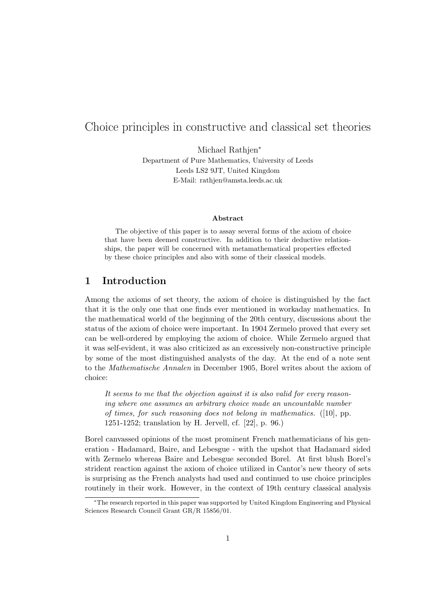# Choice principles in constructive and classical set theories

Michael Rathjen<sup>∗</sup> Department of Pure Mathematics, University of Leeds Leeds LS2 9JT, United Kingdom E-Mail: rathjen@amsta.leeds.ac.uk

#### Abstract

The objective of this paper is to assay several forms of the axiom of choice that have been deemed constructive. In addition to their deductive relationships, the paper will be concerned with metamathematical properties effected by these choice principles and also with some of their classical models.

## 1 Introduction

Among the axioms of set theory, the axiom of choice is distinguished by the fact that it is the only one that one finds ever mentioned in workaday mathematics. In the mathematical world of the beginning of the 20th century, discussions about the status of the axiom of choice were important. In 1904 Zermelo proved that every set can be well-ordered by employing the axiom of choice. While Zermelo argued that it was self-evident, it was also criticized as an excessively non-constructive principle by some of the most distinguished analysts of the day. At the end of a note sent to the Mathematische Annalen in December 1905, Borel writes about the axiom of choice:

It seems to me that the objection against it is also valid for every reasoning where one assumes an arbitrary choice made an uncountable number of times, for such reasoning does not belong in mathematics. ([10], pp. 1251-1252; translation by H. Jervell, cf. [22], p. 96.)

Borel canvassed opinions of the most prominent French mathematicians of his generation - Hadamard, Baire, and Lebesgue - with the upshot that Hadamard sided with Zermelo whereas Baire and Lebesgue seconded Borel. At first blush Borel's strident reaction against the axiom of choice utilized in Cantor's new theory of sets is surprising as the French analysts had used and continued to use choice principles routinely in their work. However, in the context of 19th century classical analysis

<sup>∗</sup>The research reported in this paper was supported by United Kingdom Engineering and Physical Sciences Research Council Grant GR/R 15856/01.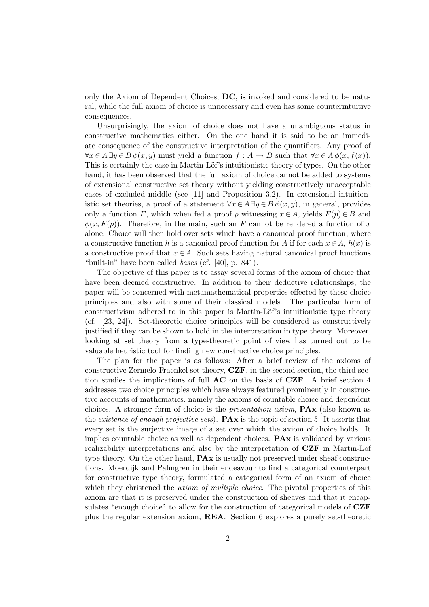only the Axiom of Dependent Choices, DC, is invoked and considered to be natural, while the full axiom of choice is unnecessary and even has some counterintuitive consequences.

Unsurprisingly, the axiom of choice does not have a unambiguous status in constructive mathematics either. On the one hand it is said to be an immediate consequence of the constructive interpretation of the quantifiers. Any proof of  $\forall x \in A \exists y \in B \phi(x, y)$  must yield a function  $f : A \to B$  such that  $\forall x \in A \phi(x, f(x))$ . This is certainly the case in Martin-Löf's intuitionistic theory of types. On the other hand, it has been observed that the full axiom of choice cannot be added to systems of extensional constructive set theory without yielding constructively unacceptable cases of excluded middle (see [11] and Proposition 3.2). In extensional intuitionistic set theories, a proof of a statement  $\forall x \in A \exists y \in B \phi(x, y)$ , in general, provides only a function F, which when fed a proof p witnessing  $x \in A$ , yields  $F(p) \in B$  and  $\phi(x, F(p))$ . Therefore, in the main, such an F cannot be rendered a function of x alone. Choice will then hold over sets which have a canonical proof function, where a constructive function h is a canonical proof function for A if for each  $x \in A$ ,  $h(x)$  is a constructive proof that  $x \in A$ . Such sets having natural canonical proof functions "built-in" have been called bases (cf. [40], p. 841).

The objective of this paper is to assay several forms of the axiom of choice that have been deemed constructive. In addition to their deductive relationships, the paper will be concerned with metamathematical properties effected by these choice principles and also with some of their classical models. The particular form of constructivism adhered to in this paper is Martin-Löf's intuitionistic type theory (cf. [23, 24]). Set-theoretic choice principles will be considered as constructively justified if they can be shown to hold in the interpretation in type theory. Moreover, looking at set theory from a type-theoretic point of view has turned out to be valuable heuristic tool for finding new constructive choice principles.

The plan for the paper is as follows: After a brief review of the axioms of constructive Zermelo-Fraenkel set theory, CZF, in the second section, the third section studies the implications of full AC on the basis of CZF. A brief section 4 addresses two choice principles which have always featured prominently in constructive accounts of mathematics, namely the axioms of countable choice and dependent choices. A stronger form of choice is the presentation axiom, PAx (also known as the existence of enough projective sets).  $\mathbf{P} \mathbf{A} \mathbf{x}$  is the topic of section 5. It asserts that every set is the surjective image of a set over which the axiom of choice holds. It implies countable choice as well as dependent choices. PAx is validated by various realizability interpretations and also by the interpretation of  $CZF$  in Martin-Löf type theory. On the other hand, PAx is usually not preserved under sheaf constructions. Moerdijk and Palmgren in their endeavour to find a categorical counterpart for constructive type theory, formulated a categorical form of an axiom of choice which they christened the *axiom of multiple choice*. The pivotal properties of this axiom are that it is preserved under the construction of sheaves and that it encapsulates "enough choice" to allow for the construction of categorical models of CZF plus the regular extension axiom, REA. Section 6 explores a purely set-theoretic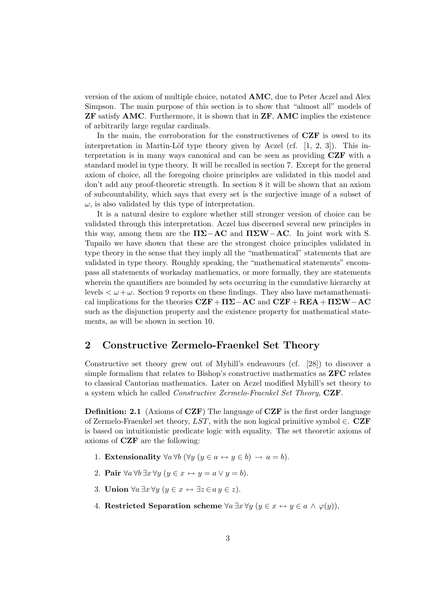version of the axiom of multiple choice, notated AMC, due to Peter Aczel and Alex Simpson. The main purpose of this section is to show that "almost all" models of ZF satisfy AMC. Furthermore, it is shown that in ZF, AMC implies the existence of arbitrarily large regular cardinals.

In the main, the corroboration for the constructivenes of CZF is owed to its interpretation in Martin-Löf type theory given by Aczel (cf.  $[1, 2, 3]$ ). This interpretation is in many ways canonical and can be seen as providing CZF with a standard model in type theory. It will be recalled in section 7. Except for the general axiom of choice, all the foregoing choice principles are validated in this model and don't add any proof-theoretic strength. In section 8 it will be shown that an axiom of subcountability, which says that every set is the surjective image of a subset of  $\omega$ , is also validated by this type of interpretation.

It is a natural desire to explore whether still stronger version of choice can be validated through this interpretation. Aczel has discerned several new principles in this way, among them are the  $\Pi\Sigma-A\mathbf{C}$  and  $\Pi\Sigma\mathbf{W}-\mathbf{AC}$ . In joint work with S. Tupailo we have shown that these are the strongest choice principles validated in type theory in the sense that they imply all the "mathematical" statements that are validated in type theory. Roughly speaking, the "mathematical statements" encompass all statements of workaday mathematics, or more formally, they are statements wherein the quantifiers are bounded by sets occurring in the cumulative hierarchy at levels  $\lt \omega + \omega$ . Section 9 reports on these findings. They also have metamathematical implications for the theories  $CZF + \Pi\Sigma - AC$  and  $CZF + REA + \Pi\Sigma W - AC$ such as the disjunction property and the existence property for mathematical statements, as will be shown in section 10.

## 2 Constructive Zermelo-Fraenkel Set Theory

Constructive set theory grew out of Myhill's endeavours (cf. [28]) to discover a simple formalism that relates to Bishop's constructive mathematics as ZFC relates to classical Cantorian mathematics. Later on Aczel modified Myhill's set theory to a system which he called Constructive Zermelo-Fraenkel Set Theory, CZF.

Definition: 2.1 (Axioms of CZF) The language of CZF is the first order language of Zermelo-Fraenkel set theory,  $LST$ , with the non logical primitive symbol  $\in$ . CZF is based on intuitionistic predicate logic with equality. The set theoretic axioms of axioms of CZF are the following:

- 1. Extensionality  $\forall a \forall b \ (\forall y \ (y \in a \leftrightarrow y \in b) \rightarrow a = b).$
- 2. **Pair**  $\forall a \forall b \exists x \forall y \ (y \in x \leftrightarrow y = a \lor y = b).$
- 3. Union  $\forall a \exists x \forall y \ (y \in x \leftrightarrow \exists z \in a \ y \in z).$
- 4. Restricted Separation scheme  $\forall a \exists x \forall y (y \in x \leftrightarrow y \in a \land \varphi(y)),$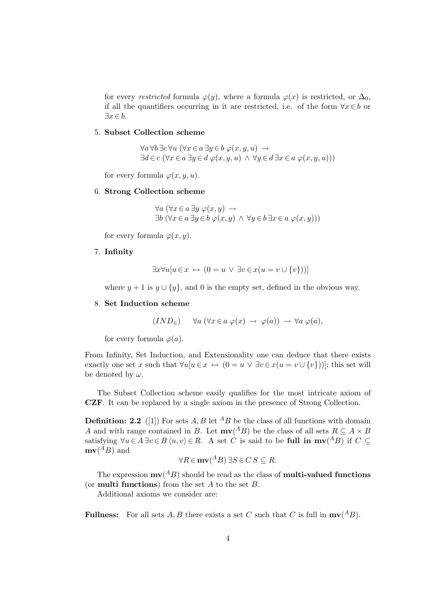for every restricted formula  $\varphi(y)$ , where a formula  $\varphi(x)$  is restricted, or  $\Delta_0$ , if all the quantifiers occurring in it are restricted, i.e. of the form  $\forall x \in b$  or  $\exists x \in b.$ 

#### 5. Subset Collection scheme

 $\forall a \forall b \exists c \forall u \ (\forall x \in a \exists y \in b \ \varphi(x, y, u) \rightarrow$  $\exists d \in c \ (\forall x \in a \ \exists y \in d \ \varphi(x, y, u) \ \wedge \ \forall y \in d \ \exists x \in a \ \varphi(x, y, u)))$ 

for every formula  $\varphi(x, y, u)$ .

#### 6. Strong Collection scheme

$$
\forall a \ (\forall x \in a \ \exists y \ \varphi(x, y) \rightarrow \exists b \ (\forall x \in a \ \exists y \in b \ \varphi(x, y) \land \forall y \in b \ \exists x \in a \ \varphi(x, y)))
$$

for every formula  $\varphi(x, y)$ .

### 7. Infinity

$$
\exists x \forall u [u \in x \leftrightarrow (0 = u \lor \exists v \in x (u = v \cup \{v\}))]
$$

where  $y + 1$  is  $y \cup \{y\}$ , and 0 is the empty set, defined in the obvious way.

#### 8. Set Induction scheme

$$
(IND_{\in}) \quad \forall a (\forall x \in a \varphi(x) \rightarrow \varphi(a)) \rightarrow \forall a \varphi(a),
$$

for every formula  $\varphi(a)$ .

From Infinity, Set Induction, and Extensionality one can deduce that there exists exactly one set x such that  $\forall u[u \in x \leftrightarrow (0 = u \lor \exists v \in x(u = v \cup \{v\}))]$ ; this set will be denoted by  $\omega$ .

The Subset Collection scheme easily qualifies for the most intricate axiom of CZF. It can be replaced by a single axiom in the presence of Strong Collection.

**Definition: 2.2** ([1]) For sets A, B let <sup>A</sup>B be the class of all functions with domain A and with range contained in B. Let  $m\mathbf{v}$ <sup>(A</sup>B) be the class of all sets  $R \subseteq A \times B$ satisfying  $\forall u \in A \exists v \in B \langle u, v \rangle \in R$ . A set C is said to be full in  $m\mathbf{v}({}^A B)$  if  $C \subseteq$  $mv(^{A}B)$  and

$$
\forall R \in \mathbf{mv}(\mathbf{A}B) \, \exists S \in C \, S \subseteq R.
$$

The expression  $\text{mv}^{(A}B)$  should be read as the class of **multi-valued functions** (or **multi functions**) from the set  $A$  to the set  $B$ .

Additional axioms we consider are:

**Fullness:** For all sets A, B there exists a set C such that C is full in  $\text{mv}(AB)$ .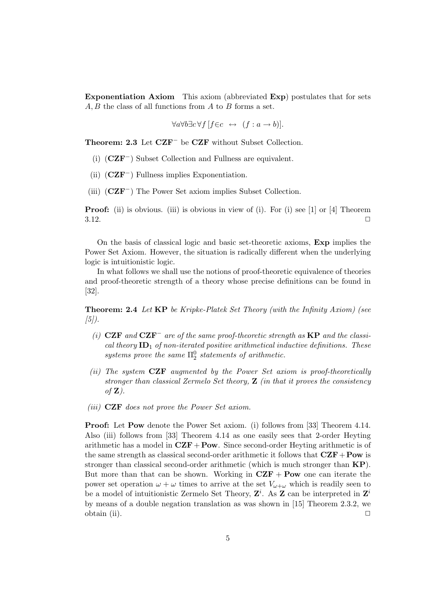Exponentiation Axiom This axiom (abbreviated Exp) postulates that for sets A, B the class of all functions from A to B forms a set.

 $\forall a \forall b \exists c \forall f [f \in c \leftrightarrow (f : a \rightarrow b)].$ 

Theorem: 2.3 Let CZF<sup>−</sup> be CZF without Subset Collection.

- (i) (CZF−) Subset Collection and Fullness are equivalent.
- (ii)  $(CZF^-)$  Fullness implies Exponentiation.
- (iii) (CZF−) The Power Set axiom implies Subset Collection.

**Proof:** (ii) is obvious. (iii) is obvious in view of (i). For (i) see [1] or [4] Theorem  $3.12.$ 

On the basis of classical logic and basic set-theoretic axioms, Exp implies the Power Set Axiom. However, the situation is radically different when the underlying logic is intuitionistic logic.

In what follows we shall use the notions of proof-theoretic equivalence of theories and proof-theoretic strength of a theory whose precise definitions can be found in [32].

Theorem: 2.4 Let KP be Kripke-Platek Set Theory (with the Infinity Axiom) (see  $(5)$ .

- (i)  $CZF$  and  $CZF^-$  are of the same proof-theoretic strength as  $KP$  and the classical theory  $ID_1$  of non-iterated positive arithmetical inductive definitions. These systems prove the same  $\Pi_2^0$  statements of arithmetic.
- (ii) The system  $CZF$  augmented by the Power Set axiom is proof-theoretically stronger than classical Zermelo Set theory,  $\mathbf{Z}$  (in that it proves the consistency of  $\mathbf{Z}$ ).
- (iii) CZF does not prove the Power Set axiom.

Proof: Let Pow denote the Power Set axiom. (i) follows from [33] Theorem 4.14. Also (iii) follows from [33] Theorem 4.14 as one easily sees that 2-order Heyting arithmetic has a model in  $CZF + Pow$ . Since second-order Heyting arithmetic is of the same strength as classical second-order arithmetic it follows that  $CZF+Pow$  is stronger than classical second-order arithmetic (which is much stronger than KP). But more than that can be shown. Working in  $CZF + Pow$  one can iterate the power set operation  $\omega + \omega$  times to arrive at the set  $V_{\omega+\omega}$  which is readily seen to be a model of intuitionistic Zermelo Set Theory,  $\mathbf{Z}^i$ . As **Z** can be interpreted in  $\mathbf{Z}^i$ by means of a double negation translation as was shown in [15] Theorem 2.3.2, we obtain (ii).  $\Box$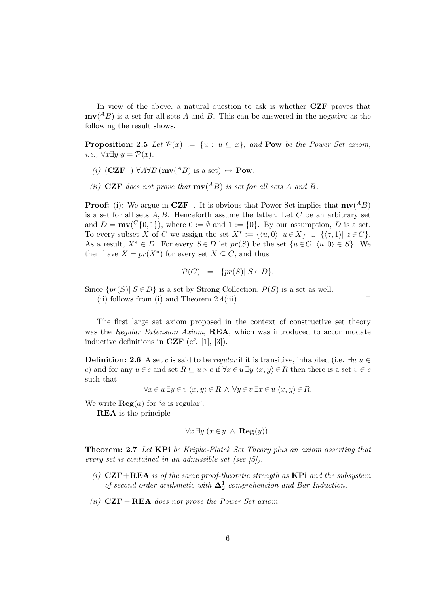In view of the above, a natural question to ask is whether **CZF** proves that  $mv(^{A}B)$  is a set for all sets A and B. This can be answered in the negative as the following the result shows.

**Proposition: 2.5** Let  $\mathcal{P}(x) := \{u : u \subseteq x\}$ , and **Pow** be the Power Set axiom, i.e.,  $\forall x \exists y \ y = \mathcal{P}(x)$ .

- (i)  $(CZF^-)$  ∀A∀B  $(mv(^AB)$  is a set) ↔ **Pow**.
- (ii) CZF does not prove that  $m\mathbf{v}$ (<sup>A</sup>B) is set for all sets A and B.

**Proof:** (i): We argue in  $CZF^-$ . It is obvious that Power Set implies that  $\mathbf{mv}(^AB)$ is a set for all sets  $A, B$ . Henceforth assume the latter. Let C be an arbitrary set and  $D = \text{mv}(\binom{C}{0,1})$ , where  $0 := \emptyset$  and  $1 := \{0\}$ . By our assumption, D is a set. To every subset X of C we assign the set  $X^* := \{ \langle u, 0 \rangle | u \in X \} \cup \{ \langle z, 1 \rangle | z \in C \}.$ As a result,  $X^* \in D$ . For every  $S \in D$  let  $pr(S)$  be the set  $\{u \in C | \langle u, 0 \rangle \in S\}$ . We then have  $X = pr(X^*)$  for every set  $X \subseteq C$ , and thus

$$
\mathcal{P}(C) = \{ pr(S) | S \in D \}.
$$

Since  $\{pr(S) | S \in D\}$  is a set by Strong Collection,  $\mathcal{P}(S)$  is a set as well.

(ii) follows from (i) and Theorem 2.4(iii).  $\Box$ 

The first large set axiom proposed in the context of constructive set theory was the Regular Extension Axiom, REA, which was introduced to accommodate inductive definitions in  $CZF$  (cf. [1], [3]).

**Definition: 2.6** A set c is said to be regular if it is transitive, inhabited (i.e.  $\exists u \ u \in$ c) and for any  $u \in c$  and set  $R \subseteq u \times c$  if  $\forall x \in u \exists y \langle x, y \rangle \in R$  then there is a set  $v \in c$ such that

$$
\forall x \in u \exists y \in v \ \langle x, y \rangle \in R \ \land \ \forall y \in v \ \exists x \in u \ \langle x, y \rangle \in R.
$$

We write  $\text{Reg}(a)$  for 'a is regular'.

REA is the principle

$$
\forall x \exists y \ (x \in y \ \land \ \mathbf{Reg}(y)).
$$

Theorem: 2.7 Let KPi be Kripke-Platek Set Theory plus an axiom asserting that every set is contained in an admissible set (see [5]).

- (i)  $CZF+REA$  is of the same proof-theoretic strength as  $KPi$  and the subsystem of second-order arithmetic with  $\Delta_2^1$ -comprehension and Bar Induction.
- (ii)  $CZF + REA$  does not prove the Power Set axiom.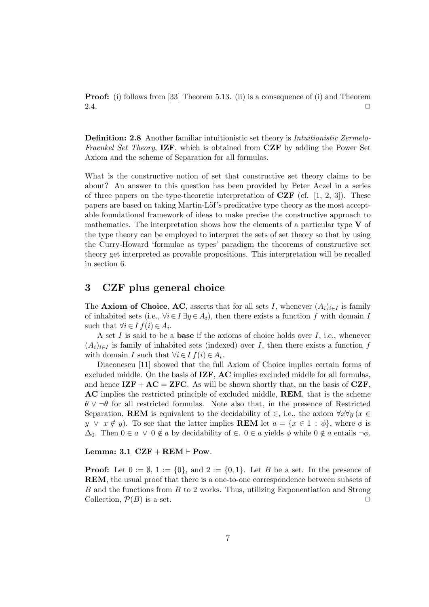Proof: (i) follows from [33] Theorem 5.13. (ii) is a consequence of (i) and Theorem 2.4.  $\Box$ 

Definition: 2.8 Another familiar intuitionistic set theory is Intuitionistic Zermelo-Fraenkel Set Theory, IZF, which is obtained from CZF by adding the Power Set Axiom and the scheme of Separation for all formulas.

What is the constructive notion of set that constructive set theory claims to be about? An answer to this question has been provided by Peter Aczel in a series of three papers on the type-theoretic interpretation of  $CZF$  (cf. [1, 2, 3]). These papers are based on taking Martin-Löf's predicative type theory as the most acceptable foundational framework of ideas to make precise the constructive approach to mathematics. The interpretation shows how the elements of a particular type  $V$  of the type theory can be employed to interpret the sets of set theory so that by using the Curry-Howard 'formulae as types' paradigm the theorems of constructive set theory get interpreted as provable propositions. This interpretation will be recalled in section 6.

## 3 CZF plus general choice

The **Axiom of Choice, AC**, asserts that for all sets I, whenever  $(A_i)_{i\in I}$  is family of inhabited sets (i.e.,  $\forall i \in I \exists y \in A_i$ ), then there exists a function f with domain I such that  $\forall i \in I \ f(i) \in A_i$ .

A set  $I$  is said to be a **base** if the axioms of choice holds over  $I$ , i.e., whenever  $(A_i)_{i\in I}$  is family of inhabited sets (indexed) over I, then there exists a function f with domain I such that  $\forall i \in I$   $f(i) \in A_i$ .

Diaconescu [11] showed that the full Axiom of Choice implies certain forms of excluded middle. On the basis of IZF, AC implies excluded middle for all formulas, and hence  $\mathbf{IZF} + \mathbf{AC} = \mathbf{ZFC}$ . As will be shown shortly that, on the basis of  $\mathbf{CZF}$ , AC implies the restricted principle of excluded middle, REM, that is the scheme  $\theta \vee \neg \theta$  for all restricted formulas. Note also that, in the presence of Restricted Separation, **REM** is equivalent to the decidability of  $\in$ , i.e., the axiom  $\forall x \forall y$  ( $x \in$  $y \lor x \notin y$ . To see that the latter implies **REM** let  $a = \{x \in 1 : \phi\}$ , where  $\phi$  is  $\Delta_0$ . Then  $0 \in a \vee 0 \notin a$  by decidability of  $\in a \in a$  yields  $\phi$  while  $0 \notin a$  entails  $\neg \phi$ .

#### Lemma:  $3.1 \text{ } CZF + REM \vdash \text{Pow}.$

**Proof:** Let  $0 := \emptyset$ ,  $1 := \{0\}$ , and  $2 := \{0, 1\}$ . Let B be a set. In the presence of REM, the usual proof that there is a one-to-one correspondence between subsets of B and the functions from B to 2 works. Thus, utilizing Exponentiation and Strong Collection,  $\mathcal{P}(B)$  is a set.  $\Box$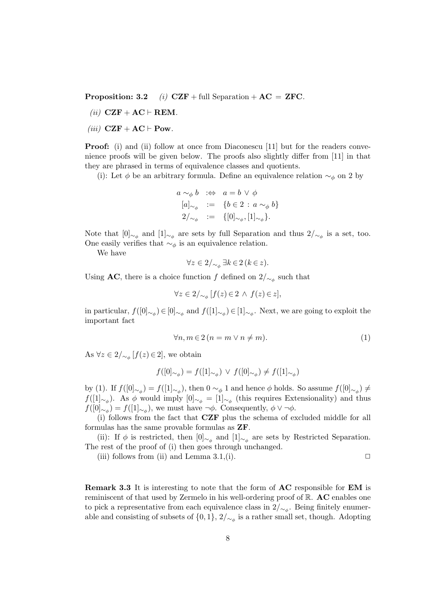**Proposition: 3.2** (i)  $CZF + full Separation + AC = ZFC$ .

- (ii)  $CZF + AC \vdash REM$ .
- (*iii*)  $CZF + AC \vdash Pow$ .

**Proof:** (i) and (ii) follow at once from Diaconescu [11] but for the readers convenience proofs will be given below. The proofs also slightly differ from [11] in that they are phrased in terms of equivalence classes and quotients.

(i): Let  $\phi$  be an arbitrary formula. Define an equivalence relation  $\sim_{\phi}$  on 2 by

$$
a \sim_{\phi} b \quad \Leftrightarrow \quad a = b \lor \phi
$$

$$
[a]_{\sim_{\phi}} \quad := \quad \{b \in 2 \, : \, a \sim_{\phi} b\}
$$

$$
2/_{\sim_{\phi}} \quad := \quad \{[0]_{\sim_{\phi}}, [1]_{\sim_{\phi}}\}.
$$

Note that  $[0]_{\sim_{\phi}}$  and  $[1]_{\sim_{\phi}}$  are sets by full Separation and thus  $2/_{\sim_{\phi}}$  is a set, too. One easily verifies that  $\sim_{\phi}$  is an equivalence relation.

We have

$$
\forall z \in 2/_{\sim_{\phi}} \exists k \in 2 \ (k \in z).
$$

Using AC, there is a choice function f defined on  $2/\sim_{\phi}$  such that

$$
\forall z \in 2 /_{\sim_{\phi}} [f(z) \in 2 \,\wedge\, f(z) \in z],
$$

in particular,  $f([0]_{\sim_{\phi}}) \in [0]_{\sim_{\phi}}$  and  $f([1]_{\sim_{\phi}}) \in [1]_{\sim_{\phi}}$ . Next, we are going to exploit the important fact

$$
\forall n, m \in 2 \ (n = m \lor n \neq m). \tag{1}
$$

As  $\forall z \in 2/\sim_{\phi} [f(z) \in 2]$ , we obtain

$$
f([0]_{\sim_{\phi}}) = f([1]_{\sim_{\phi}}) \, \vee \, f([0]_{\sim_{\phi}}) \neq f([1]_{\sim_{\phi}})
$$

by (1). If  $f([0]_{\sim_{\phi}}) = f([1]_{\sim_{\phi}})$ , then  $0 \sim_{\phi} 1$  and hence  $\phi$  holds. So assume  $f([0]_{\sim_{\phi}}) \neq$  $f([1]_{\sim_{\phi}})$ . As  $\phi$  would imply  $[0]_{\sim_{\phi}} = [1]_{\sim_{\phi}}$  (this requires Extensionality) and thus  $f([0]_{\sim_{\phi}}) = f([1]_{\sim_{\phi}})$ , we must have  $\neg \phi$ . Consequently,  $\phi \vee \neg \phi$ .

(i) follows from the fact that CZF plus the schema of excluded middle for all formulas has the same provable formulas as ZF.

(ii): If  $\phi$  is restricted, then  $[0]_{\sim_{\phi}}$  and  $[1]_{\sim_{\phi}}$  are sets by Restricted Separation. The rest of the proof of (i) then goes through unchanged.

(iii) follows from (ii) and Lemma 3.1,(i).  $\Box$ 

Remark 3.3 It is interesting to note that the form of AC responsible for EM is reminiscent of that used by Zermelo in his well-ordering proof of R. AC enables one to pick a representative from each equivalence class in  $2/\sim_{\phi}$ . Being finitely enumerable and consisting of subsets of  $\{0,1\}$ ,  $2/\sim_{\phi}$  is a rather small set, though. Adopting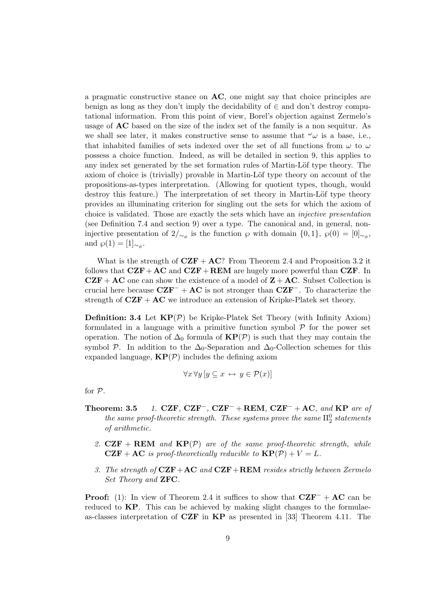a pragmatic constructive stance on AC, one might say that choice principles are benign as long as they don't imply the decidability of  $\in$  and don't destroy computational information. From this point of view, Borel's objection against Zermelo's usage of AC based on the size of the index set of the family is a non sequitur. As we shall see later, it makes constructive sense to assume that  $\omega_{\omega}$  is a base, i.e., that inhabited families of sets indexed over the set of all functions from  $\omega$  to  $\omega$ possess a choice function. Indeed, as will be detailed in section 9, this applies to any index set generated by the set formation rules of Martin-Löf type theory. The axiom of choice is (trivially) provable in Martin-Löf type theory on account of the propositions-as-types interpretation. (Allowing for quotient types, though, would destroy this feature.) The interpretation of set theory in Martin-Löf type theory provides an illuminating criterion for singling out the sets for which the axiom of choice is validated. Those are exactly the sets which have an injective presentation (see Definition 7.4 and section 9) over a type. The canonical and, in general, noninjective presentation of  $2/\sim_{\phi}$  is the function  $\wp$  with domain  $\{0,1\}$ ,  $\wp(0) = [0]_{\sim_{\phi}}$ , and  $\wp(1) = [1]_{\sim_{\phi}}$ .

What is the strength of  $CZF + AC$ ? From Theorem 2.4 and Proposition 3.2 it follows that  $CZF+AC$  and  $CZF+REM$  are hugely more powerful than  $CZF$ . In  $CZF + AC$  one can show the existence of a model of  $Z + AC$ . Subset Collection is crucial here because  $CZF^- + AC$  is not stronger than  $CZF^-$ . To characterize the strength of  $CZF + AC$  we introduce an extension of Kripke-Platek set theory.

**Definition: 3.4** Let  $KP(P)$  be Kripke-Platek Set Theory (with Infinity Axiom) formulated in a language with a primitive function symbol  $P$  for the power set operation. The notion of  $\Delta_0$  formula of  $\mathbf{KP}(\mathcal{P})$  is such that they may contain the symbol P. In addition to the  $\Delta_0$ -Separation and  $\Delta_0$ -Collection schemes for this expanded language,  $\mathbf{KP}(\mathcal{P})$  includes the defining axiom

$$
\forall x \forall y \left[ y \subseteq x \leftrightarrow y \in \mathcal{P}(x) \right]
$$

for P.

- Theorem: 3.5 1. CZF, CZF<sup>-</sup>, CZF<sup>-</sup> + REM, CZF<sup>-</sup> + AC, and KP are of the same proof-theoretic strength. These systems prove the same  $\Pi^0_2$  statements of arithmetic.
	- 2.  $CZF + REM$  and  $KP(P)$  are of the same proof-theoretic strength, while  $CZF + AC$  is proof-theoretically reducible to  $KP(\mathcal{P}) + V = L$ .
	- 3. The strength of  $CZF+AC$  and  $CZF+REM$  resides strictly between Zermelo Set Theory and ZFC.

**Proof:** (1): In view of Theorem 2.4 it suffices to show that  $CZF^- + AC$  can be reduced to **KP**. This can be achieved by making slight changes to the formulaeas-classes interpretation of  $CZF$  in  $KP$  as presented in [33] Theorem 4.11. The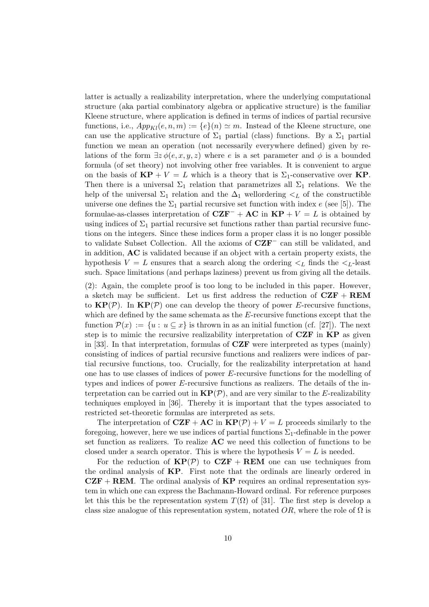latter is actually a realizability interpretation, where the underlying computational structure (aka partial combinatory algebra or applicative structure) is the familiar Kleene structure, where application is defined in terms of indices of partial recursive functions, i.e.,  $App<sub>Kl</sub>(e, n, m) := \{e\}(n) \simeq m$ . Instead of the Kleene structure, one can use the applicative structure of  $\Sigma_1$  partial (class) functions. By a  $\Sigma_1$  partial function we mean an operation (not necessarily everywhere defined) given by relations of the form  $\exists z \phi(e, x, y, z)$  where e is a set parameter and  $\phi$  is a bounded formula (of set theory) not involving other free variables. It is convenient to argue on the basis of  $\mathbf{KP} + V = L$  which is a theory that is  $\Sigma_1$ -conservative over  $\mathbf{KP}$ . Then there is a universal  $\Sigma_1$  relation that parametrizes all  $\Sigma_1$  relations. We the help of the universal  $\Sigma_1$  relation and the  $\Delta_1$  wellordering  $\lt_L$  of the constructible universe one defines the  $\Sigma_1$  partial recursive set function with index e (see [5]). The formulae-as-classes interpretation of  $CZF^- + AC$  in  $KP + V = L$  is obtained by using indices of  $\Sigma_1$  partial recursive set functions rather than partial recursive functions on the integers. Since these indices form a proper class it is no longer possible to validate Subset Collection. All the axioms of CZF<sup>−</sup> can still be validated, and in addition, AC is validated because if an object with a certain property exists, the hypothesis  $V = L$  ensures that a search along the ordering  $\lt_L$  finds the  $\lt_L$ -least such. Space limitations (and perhaps laziness) prevent us from giving all the details.

(2): Again, the complete proof is too long to be included in this paper. However, a sketch may be sufficient. Let us first address the reduction of  $CZF + REM$ to  $\mathbf{KP}(\mathcal{P})$ . In  $\mathbf{KP}(\mathcal{P})$  one can develop the theory of power E-recursive functions, which are defined by the same schemata as the E-recursive functions except that the function  $\mathcal{P}(x) := \{u : u \subseteq x\}$  is thrown in as an initial function (cf. [27]). The next step is to mimic the recursive realizability interpretation of CZF in KP as given in [33]. In that interpretation, formulas of CZF were interpreted as types (mainly) consisting of indices of partial recursive functions and realizers were indices of partial recursive functions, too. Crucially, for the realizability interpretation at hand one has to use classes of indices of power E-recursive functions for the modelling of types and indices of power E-recursive functions as realizers. The details of the interpretation can be carried out in  $\mathbf{KP}(\mathcal{P})$ , and are very similar to the E-realizability techniques employed in [36]. Thereby it is important that the types associated to restricted set-theoretic formulas are interpreted as sets.

The interpretation of  $CZF + AC$  in  $KP(P) + V = L$  proceeds similarly to the foregoing, however, here we use indices of partial functions  $\Sigma_1$ -definable in the power set function as realizers. To realize AC we need this collection of functions to be closed under a search operator. This is where the hypothesis  $V = L$  is needed.

For the reduction of  $KP(\mathcal{P})$  to  $CZF + REM$  one can use techniques from the ordinal analysis of  $KP$ . First note that the ordinals are linearly ordered in  $CZF + REM$ . The ordinal analysis of  $KP$  requires an ordinal representation system in which one can express the Bachmann-Howard ordinal. For reference purposes let this this be the representation system  $T(\Omega)$  of [31]. The first step is develop a class size analogue of this representation system, notated  $OR$ , where the role of  $\Omega$  is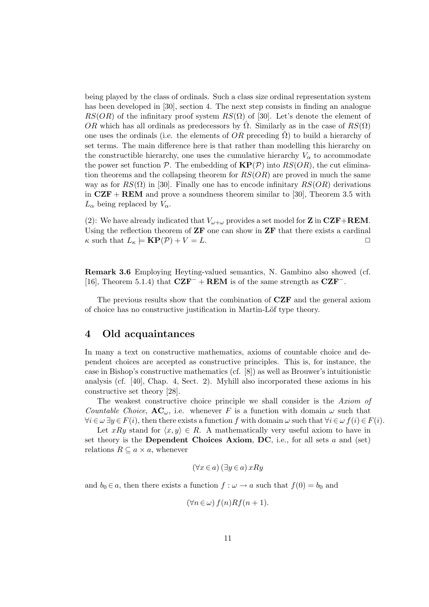being played by the class of ordinals. Such a class size ordinal representation system has been developed in [30], section 4. The next step consists in finding an analogue  $RS(OR)$  of the infinitary proof system  $RS(\Omega)$  of [30]. Let's denote the element of OR which has all ordinals as predecessors by  $\hat{\Omega}$ . Similarly as in the case of  $RS(\Omega)$ one uses the ordinals (i.e. the elements of  $OR$  preceding  $\Omega$ ) to build a hierarchy of set terms. The main difference here is that rather than modelling this hierarchy on the constructible hierarchy, one uses the cumulative hierarchy  $V_{\alpha}$  to accommodate the power set function  $P$ . The embedding of  $KP(P)$  into  $RS(OR)$ , the cut elimination theorems and the collapsing theorem for  $RS(OR)$  are proved in much the same way as for  $RS(\Omega)$  in [30]. Finally one has to encode infinitary  $RS(OR)$  derivations in  $CZF + REM$  and prove a soundness theorem similar to [30], Theorem 3.5 with  $L_{\alpha}$  being replaced by  $V_{\alpha}$ .

(2): We have already indicated that  $V_{\omega+\omega}$  provides a set model for **Z** in **CZF**+**REM**. Using the reflection theorem of  $\mathbf{ZF}$  one can show in  $\mathbf{ZF}$  that there exists a cardinal  $\kappa$  such that  $L_{\kappa} \models \mathbf{KP}(\mathcal{P}) + V = L.$ 

Remark 3.6 Employing Heyting-valued semantics, N. Gambino also showed (cf. [16], Theorem 5.1.4) that  $CZF^-$  + REM is of the same strength as  $CZF^-$ .

The previous results show that the combination of **CZF** and the general axiom of choice has no constructive justification in Martin-Löf type theory.

## 4 Old acquaintances

In many a text on constructive mathematics, axioms of countable choice and dependent choices are accepted as constructive principles. This is, for instance, the case in Bishop's constructive mathematics (cf. [8]) as well as Brouwer's intuitionistic analysis (cf. [40], Chap. 4, Sect. 2). Myhill also incorporated these axioms in his constructive set theory [28].

The weakest constructive choice principle we shall consider is the Axiom of Countable Choice,  $AC_{\omega}$ , i.e. whenever F is a function with domain  $\omega$  such that  $\forall i \in \omega \exists y \in F(i)$ , then there exists a function f with domain  $\omega$  such that  $\forall i \in \omega f(i) \in F(i)$ .

Let xRy stand for  $\langle x, y \rangle \in R$ . A mathematically very useful axiom to have in set theory is the Dependent Choices Axiom, DC, i.e., for all sets  $a$  and (set) relations  $R \subseteq a \times a$ , whenever

$$
(\forall x \in a) (\exists y \in a) x R y
$$

and  $b_0 \in a$ , then there exists a function  $f : \omega \to a$  such that  $f(0) = b_0$  and

$$
(\forall n \in \omega) f(n)Rf(n+1).
$$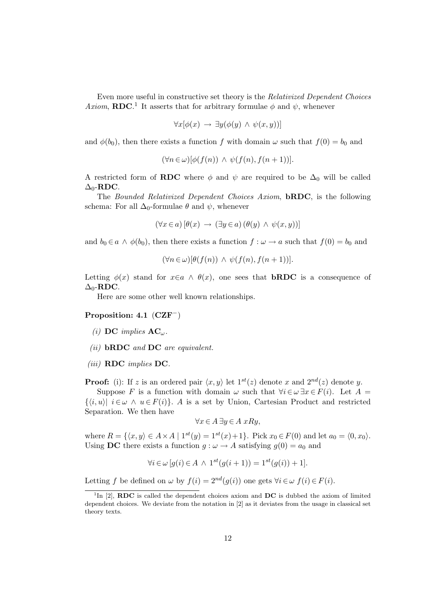Even more useful in constructive set theory is the Relativized Dependent Choices Axiom, RDC.<sup>1</sup> It asserts that for arbitrary formulae  $\phi$  and  $\psi$ , whenever

$$
\forall x[\phi(x) \rightarrow \exists y(\phi(y) \land \psi(x,y))]
$$

and  $\phi(b_0)$ , then there exists a function f with domain  $\omega$  such that  $f(0) = b_0$  and

$$
(\forall n \in \omega) [\phi(f(n)) \land \psi(f(n), f(n+1))].
$$

A restricted form of **RDC** where  $\phi$  and  $\psi$  are required to be  $\Delta_0$  will be called  $\Delta_0$ -RDC.

The Bounded Relativized Dependent Choices Axiom, **bRDC**, is the following schema: For all  $\Delta_0$ -formulae  $\theta$  and  $\psi$ , whenever

$$
(\forall x \in a) [\theta(x) \rightarrow (\exists y \in a) (\theta(y) \land \psi(x, y))]
$$

and  $b_0 \in a \land \phi(b_0)$ , then there exists a function  $f : \omega \to a$  such that  $f(0) = b_0$  and

$$
(\forall n \in \omega) [\theta(f(n)) \land \psi(f(n), f(n+1))].
$$

Letting  $\phi(x)$  stand for  $x \in a \land \theta(x)$ , one sees that **bRDC** is a consequence of  $\Delta_0$ -RDC.

Here are some other well known relationships.

### Proposition: 4.1 (CZF−)

- (i) DC implies  $AC_{\omega}$ .
- (ii)  $\bf bRDC$  and  $\bf DC$  are equivalent.
- $(iii)$  RDC implies DC.

**Proof:** (i): If z is an ordered pair  $\langle x, y \rangle$  let  $1^{st}(z)$  denote x and  $2^{nd}(z)$  denote y.

Suppose F is a function with domain  $\omega$  such that  $\forall i \in \omega \exists x \in F(i)$ . Let  $A =$  $\{\langle i, u \rangle | i \in \omega \land u \in F(i)\}\$ . A is a set by Union, Cartesian Product and restricted Separation. We then have

$$
\forall x \in A \,\exists y \in A \,\, xRy,
$$

where  $R = \{ \langle x, y \rangle \in A \times A \mid 1^{st}(y) = 1^{st}(x) + 1 \}.$  Pick  $x_0 \in F(0)$  and let  $a_0 = \langle 0, x_0 \rangle$ . Using **DC** there exists a function  $q : \omega \to A$  satisfying  $q(0) = a_0$  and

$$
\forall i \in \omega \left[ g(i) \in A \, \wedge \, 1^{st} \left( g(i+1) \right) = 1^{st} \left( g(i) \right) + 1 \right].
$$

Letting f be defined on  $\omega$  by  $f(i) = 2^{nd}(g(i))$  one gets  $\forall i \in \omega$   $f(i) \in F(i)$ .

<sup>&</sup>lt;sup>1</sup>In [2], **RDC** is called the dependent choices axiom and  $\overline{DC}$  is dubbed the axiom of limited dependent choices. We deviate from the notation in [2] as it deviates from the usage in classical set theory texts.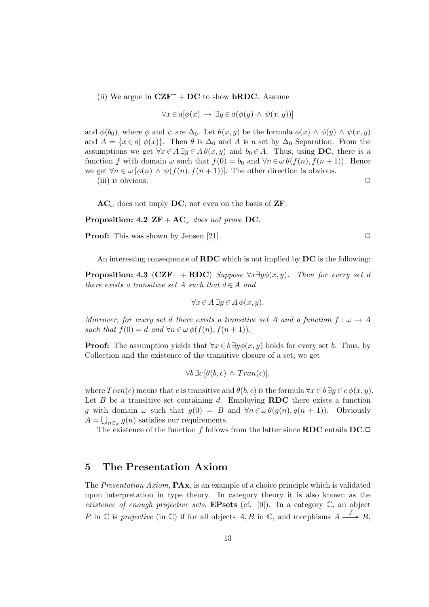(ii) We argue in  $CZF^- + DC$  to show **bRDC**. Assume

$$
\forall x \in a[\phi(x) \rightarrow \exists y \in a(\phi(y) \land \psi(x, y))]
$$

and  $\phi(b_0)$ , where  $\phi$  and  $\psi$  are  $\Delta_0$ . Let  $\theta(x, y)$  be the formula  $\phi(x) \wedge \phi(y) \wedge \psi(x, y)$ and  $A = \{x \in a \mid \phi(x)\}\.$  Then  $\theta$  is  $\Delta_0$  and A is a set by  $\Delta_0$  Separation. From the assumptions we get  $\forall x \in A \exists y \in A \theta(x, y)$  and  $b_0 \in A$ . Thus, using DC, there is a function f with domain  $\omega$  such that  $f(0) = b_0$  and  $\forall n \in \omega \theta(f(n), f(n+1))$ . Hence we get  $\forall n \in \omega \, [\phi(n) \land \psi(f(n), f(n+1))]$ . The other direction is obvious.

(iii) is obvious.

 $AC_{\omega}$  does not imply DC, not even on the basis of ZF.

Proposition: 4.2  $\mathbf{ZF} + \mathbf{AC}_{\omega}$  does not prove DC.

**Proof:** This was shown by Jensen [21].  $\Box$ 

An interesting consequence of  $RDC$  which is not implied by  $DC$  is the following:

**Proposition: 4.3 (CZF<sup>-</sup> + RDC)** Suppose  $\forall x \exists y \phi(x, y)$ . Then for every set d there exists a transitive set A such that  $d \in A$  and

$$
\forall x \in A \,\exists y \in A \,\phi(x, y).
$$

Moreover, for every set d there exists a transitive set A and a function  $f : \omega \to A$ such that  $f(0) = d$  and  $\forall n \in \omega \phi(f(n), f(n+1)).$ 

**Proof:** The assumption yields that  $\forall x \in b \exists y \phi(x, y)$  holds for every set b. Thus, by Collection and the existence of the transitive closure of a set, we get

$$
\forall b \,\exists c \, [\theta(b,c) \land Tran(c)],
$$

where  $Tran(c)$  means that c is transitive and  $\theta(b, c)$  is the formula  $\forall x \in b \exists y \in c \phi(x, y)$ . Let  $B$  be a transitive set containing  $d$ . Employing **RDC** there exists a function g with domain  $\omega$  such that  $g(0) = B$  and  $\forall n \in \omega \theta(g(n), g(n+1))$ . Obviously  $A = \bigcup_{n \in \omega} g(n)$  satisfies our requirements.

The existence of the function f follows from the latter since  $RDC$  entails  $DC \square$ 

## 5 The Presentation Axiom

The Presentation Axiom, PAx, is an example of a choice principle which is validated upon interpretation in type theory. In category theory it is also known as the existence of enough projective sets, **EPsets** (cf. [9]). In a category  $\mathbb{C}$ , an object P in  $\mathbb C$  is projective (in  $\mathbb C$ ) if for all objects  $A, B$  in  $\mathbb C$ , and morphisms  $A \xrightarrow{f} B$ ,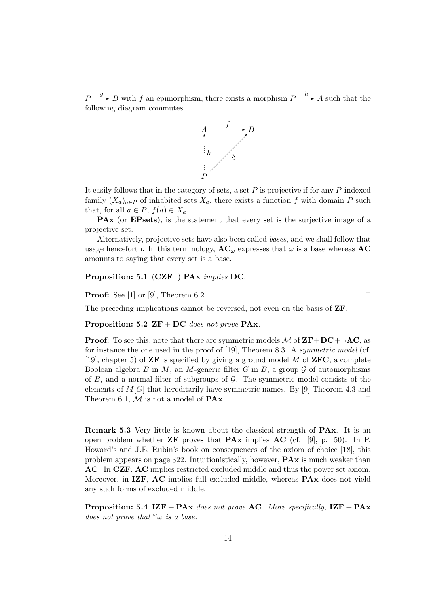$P \stackrel{g}{\longrightarrow} B$  with f an epimorphism, there exists a morphism  $P \stackrel{h}{\longrightarrow} A$  such that the following diagram commutes



It easily follows that in the category of sets, a set  $P$  is projective if for any  $P$ -indexed family  $(X_a)_{a \in P}$  of inhabited sets  $X_a$ , there exists a function f with domain P such that, for all  $a \in P$ ,  $f(a) \in X_a$ .

PAx (or EPsets), is the statement that every set is the surjective image of a projective set.

Alternatively, projective sets have also been called bases, and we shall follow that usage henceforth. In this terminology,  $AC_{\omega}$  expresses that  $\omega$  is a base whereas AC amounts to saying that every set is a base.

### Proposition: 5.1 (CZF−) PAx implies DC.

**Proof:** See [1] or [9], Theorem 6.2.  $\Box$ 

The preceding implications cannot be reversed, not even on the basis of ZF.

### Proposition: 5.2  $ZF + DC$  does not prove PAx.

**Proof:** To see this, note that there are symmetric models M of  $\mathbf{ZF}+\mathbf{DC}+\neg \mathbf{AC}$ , as for instance the one used in the proof of [19], Theorem 8.3. A symmetric model (cf. [19], chapter 5) of **ZF** is specified by giving a ground model M of **ZFC**, a complete Boolean algebra B in M, an M-generic filter G in B, a group  $\mathcal G$  of automorphisms of  $B$ , and a normal filter of subgroups of  $\mathcal G$ . The symmetric model consists of the elements of  $M[G]$  that hereditarily have symmetric names. By [9] Theorem 4.3 and Theorem 6.1,  $M$  is not a model of **PAx**.  $\Box$ 

Remark 5.3 Very little is known about the classical strength of PAx. It is an open problem whether  $\mathbf{ZF}$  proves that  $\mathbf{P} \mathbf{Ax}$  implies  $\mathbf{AC}$  (cf. [9], p. 50). In P. Howard's and J.E. Rubin's book on consequences of the axiom of choice [18], this problem appears on page 322. Intuitionistically, however, PAx is much weaker than AC. In CZF, AC implies restricted excluded middle and thus the power set axiom. Moreover, in IZF, AC implies full excluded middle, whereas **PA**x does not yield any such forms of excluded middle.

**Proposition: 5.4 IZF** + **PAx** does not prove **AC**. More specifically,  $\text{IZF} + \text{PAx}$ does not prove that  $\omega_{\omega}$  is a base.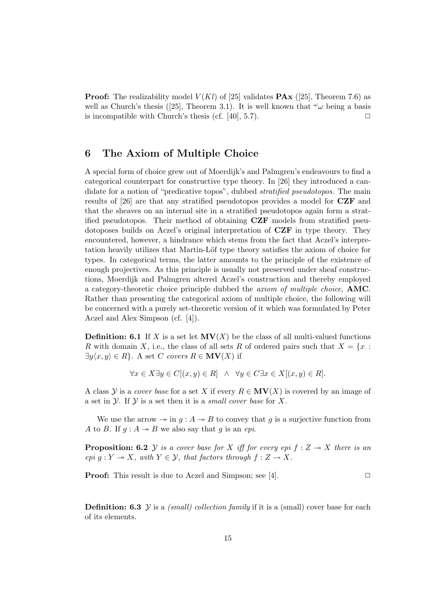**Proof:** The realizability model  $V(Kl)$  of [25] validates **PAx** ([25], Theorem 7.6) as well as Church's thesis ([25], Theorem 3.1). It is well known that  $\omega_{\omega}$  being a basis is incompatible with Church's thesis (cf.  $[40]$ , 5.7).

## 6 The Axiom of Multiple Choice

A special form of choice grew out of Moerdijk's and Palmgren's endeavours to find a categorical counterpart for constructive type theory. In [26] they introduced a candidate for a notion of "predicative topos", dubbed stratified pseudotopos. The main results of [26] are that any stratified pseudotopos provides a model for CZF and that the sheaves on an internal site in a stratified pseudotopos again form a stratified pseudotopos. Their method of obtaining CZF models from stratified pseudotoposes builds on Aczel's original interpretation of CZF in type theory. They encountered, however, a hindrance which stems from the fact that Aczel's interpretation heavily utilizes that Martin-Löf type theory satisfies the axiom of choice for types. In categorical terms, the latter amounts to the principle of the existence of enough projectives. As this principle is usually not preserved under sheaf constructions, Moerdijk and Palmgren altered Aczel's construction and thereby employed a category-theoretic choice principle dubbed the axiom of multiple choice, AMC. Rather than presenting the categorical axiom of multiple choice, the following will be concerned with a purely set-theoretic version of it which was formulated by Peter Aczel and Alex Simpson (cf. [4]).

**Definition: 6.1** If X is a set let  $MV(X)$  be the class of all multi-valued functions R with domain X, i.e., the class of all sets R of ordered pairs such that  $X = \{x :$  $\exists y \langle x, y \rangle \in R$ . A set C covers  $R \in MV(X)$  if

$$
\forall x \in X \exists y \in C[(x, y) \in R] \land \forall y \in C \exists x \in X[(x, y) \in R].
$$

A class Y is a *cover base* for a set X if every  $R \in MV(X)$  is covered by an image of a set in  $\mathcal Y$ . If  $\mathcal Y$  is a set then it is a *small cover base* for X.

We use the arrow  $\rightarrow$  in  $g : A \rightarrow B$  to convey that g is a surjective function from A to B. If  $g : A \rightarrow B$  we also say that g is an epi.

**Proposition: 6.2** Y is a cover base for X iff for every epi  $f : Z \rightarrow X$  there is an epi  $g: Y \twoheadrightarrow X$ , with  $Y \in \mathcal{Y}$ , that factors through  $f: Z \to X$ .

**Proof:** This result is due to Aczel and Simpson; see [4].  $\Box$ 

**Definition: 6.3** Y is a *(small) collection family* if it is a *(small) cover base for each* of its elements.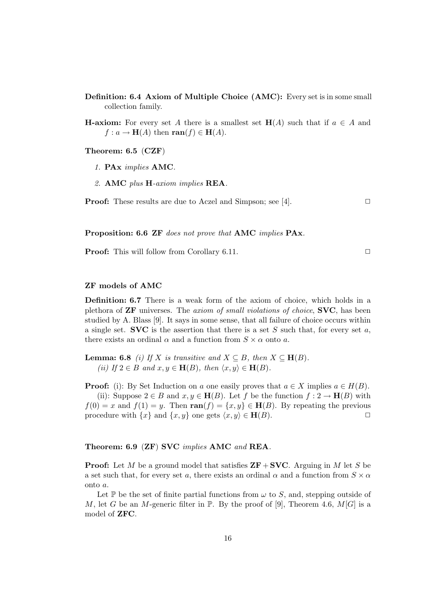- Definition: 6.4 Axiom of Multiple Choice (AMC): Every set is in some small collection family.
- **H-axiom:** For every set A there is a smallest set  $H(A)$  such that if  $a \in A$  and  $f: a \to \mathbf{H}(A)$  then  $\text{ran}(f) \in \mathbf{H}(A)$ .

Theorem: 6.5 (CZF)

- 1. PAx implies AMC.
- 2. AMC plus H-axiom implies REA.

**Proof:** These results are due to Aczel and Simpson; see [4].  $\Box$ 

Proposition: 6.6 ZF does not prove that AMC implies PAx.

**Proof:** This will follow from Corollary 6.11. □

### ZF models of AMC

Definition: 6.7 There is a weak form of the axiom of choice, which holds in a plethora of ZF universes. The axiom of small violations of choice, SVC, has been studied by A. Blass [9]. It says in some sense, that all failure of choice occurs within a single set. **SVC** is the assertion that there is a set  $S$  such that, for every set  $a$ , there exists an ordinal  $\alpha$  and a function from  $S \times \alpha$  onto a.

**Lemma: 6.8** (i) If X is transitive and  $X \subseteq B$ , then  $X \subseteq \mathbf{H}(B)$ . (ii) If  $2 \in B$  and  $x, y \in \mathbf{H}(B)$ , then  $\langle x, y \rangle \in \mathbf{H}(B)$ .

**Proof:** (i): By Set Induction on a one easily proves that  $a \in X$  implies  $a \in H(B)$ . (ii): Suppose  $2 \in B$  and  $x, y \in \mathbf{H}(B)$ . Let f be the function  $f: 2 \to \mathbf{H}(B)$  with  $f(0) = x$  and  $f(1) = y$ . Then  $\text{ran}(f) = \{x, y\} \in \mathbf{H}(B)$ . By repeating the previous procedure with  $\{x\}$  and  $\{x, y\}$  one gets  $\langle x, y \rangle \in \mathbf{H}(B)$ .

#### Theorem: 6.9 (ZF) SVC implies AMC and REA.

**Proof:** Let M be a ground model that satisfies  $ZF + SVC$ . Arguing in M let S be a set such that, for every set a, there exists an ordinal  $\alpha$  and a function from  $S \times \alpha$ onto a.

Let  $\mathbb P$  be the set of finite partial functions from  $\omega$  to S, and, stepping outside of M, let G be an M-generic filter in  $\mathbb{P}$ . By the proof of [9], Theorem 4.6, M[G] is a model of ZFC.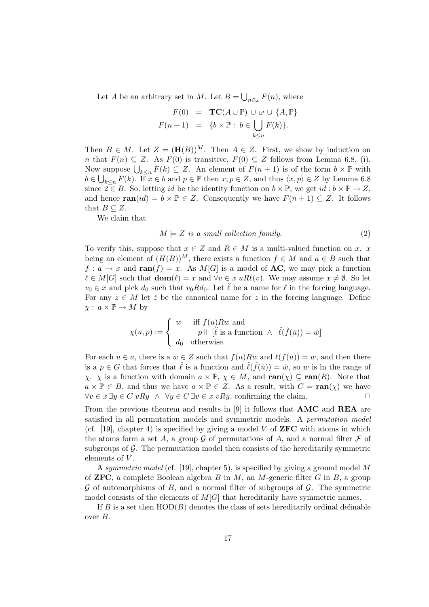Let A be an arbitrary set in M. Let  $B = \bigcup_{n \in \omega} F(n)$ , where

$$
F(0) = \mathbf{TC}(A \cup \mathbb{P}) \cup \omega \cup \{A, \mathbb{P}\}
$$

$$
F(n+1) = \{b \times \mathbb{P} : b \in \bigcup_{k \le n} F(k)\}.
$$

Then  $B \in M$ . Let  $Z = (\mathbf{H}(B))^M$ . Then  $A \in Z$ . First, we show by induction on n that  $F(n) \subseteq Z$ . As  $F(0)$  is transitive,  $F(0) \subseteq Z$  follows from Lemma 6.8, (i). Now suppose  $\bigcup_{k\leq n} F(k) \subseteq Z$ . An element of  $F(n+1)$  is of the form  $b \times \mathbb{P}$  with  $b \in \bigcup_{k \leq n} F(k)$ . If  $x \in b$  and  $p \in \mathbb{P}$  then  $x, p \in Z$ , and thus  $\langle x, p \rangle \in Z$  by Lemma 6.8 since  $2 \in B$ . So, letting id be the identity function on  $b \times \mathbb{P}$ , we get id:  $b \times \mathbb{P} \to Z$ , and hence  $\text{ran}(id) = b \times \mathbb{P} \in Z$ . Consequently we have  $F(n+1) \subseteq Z$ . It follows that  $B \subseteq Z$ .

We claim that

$$
M \models Z \text{ is a small collection family.} \tag{2}
$$

To verify this, suppose that  $x \in Z$  and  $R \in M$  is a multi-valued function on x. x being an element of  $(H(B))^M$ , there exists a function  $f \in M$  and  $a \in B$  such that  $f: a \to x$  and  $\text{ran}(f) = x$ . As  $M[G]$  is a model of **AC**, we may pick a function  $\ell \in M[G]$  such that  $\textbf{dom}(\ell) = x$  and  $\forall v \in x$  uR $\ell(v)$ . We may assume  $x \neq \emptyset$ . So let  $v_0 \in x$  and pick  $d_0$  such that  $v_0 R d_0$ . Let  $\ell$  be a name for  $\ell$  in the forcing language. For any  $z \in M$  let  $\check{z}$  be the canonical name for z in the forcing language. Define  $\chi: a \times \mathbb{P} \to M$  by

$$
\chi(u,p) := \begin{cases} w & \text{iff } f(u)Rw \text{ and} \\ p \Vdash [\ddot{\ell} \text{ is a function } \wedge \ \ddot{\ell}(\check{f}(\check{u})) = \check{w}] \\ d_0 & \text{otherwise.} \end{cases}
$$

For each  $u \in a$ , there is a  $w \in Z$  such that  $f(u)Rw$  and  $\ell(f(u)) = w$ , and then there is a  $p \in G$  that forces that  $\ell$  is a function and  $\ell(f(\check{u})) = \check{w}$ , so w is in the range of  $\chi$ .  $\chi$  is a function with domain  $a \times \mathbb{P}$ ,  $\chi \in M$ , and  $\text{ran}(\chi) \subseteq \text{ran}(R)$ . Note that  $a \times \mathbb{P} \in B$ , and thus we have  $a \times \mathbb{P} \in Z$ . As a result, with  $C = \text{ran}(\chi)$  we have  $\forall v \in x \exists y \in C \ vRy \land \forall y \in C \exists v \in x \ vRy$ , confirming the claim.

From the previous theorem and results in [9] it follows that AMC and REA are satisfied in all permutation models and symmetric models. A permutation model (cf. [19], chapter 4) is specified by giving a model V of **ZFC** with atoms in which the atoms form a set A, a group G of permutations of A, and a normal filter  $\mathcal F$  of subgroups of  $\mathcal G$ . The permutation model then consists of the hereditarily symmetric elements of  $V$ .

A symmetric model (cf. [19], chapter 5), is specified by giving a ground model M of **ZFC**, a complete Boolean algebra B in M, an M-generic filter G in B, a group  $\mathcal G$  of automorphisms of  $B$ , and a normal filter of subgroups of  $\mathcal G$ . The symmetric model consists of the elements of  $M[G]$  that hereditarily have symmetric names.

If B is a set then  $HOD(B)$  denotes the class of sets hereditarily ordinal definable over B.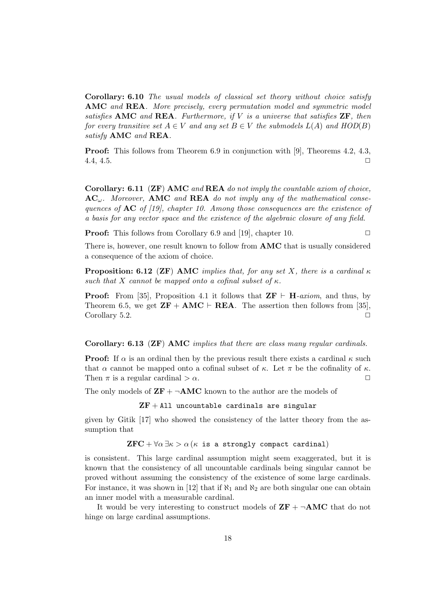Corollary: 6.10 The usual models of classical set theory without choice satisfy AMC and REA. More precisely, every permutation model and symmetric model satisfies AMC and REA. Furthermore, if  $V$  is a universe that satisfies  $\mathbf{ZF}$ , then for every transitive set  $A \in V$  and any set  $B \in V$  the submodels  $L(A)$  and  $HOD(B)$ satisfy **AMC** and **REA**.

Proof: This follows from Theorem 6.9 in conjunction with [9], Theorems 4.2, 4.3, 4.4, 4.5.  $\Box$ 

Corollary: 6.11 ( $\mathbf{ZF}$ ) AMC and REA do not imply the countable axiom of choice,  $AC_{\omega}$ . Moreover, AMC and REA do not imply any of the mathematical consequences of  $AC$  of [19], chapter 10. Among those consequences are the existence of a basis for any vector space and the existence of the algebraic closure of any field.

**Proof:** This follows from Corollary 6.9 and [19], chapter 10.  $\Box$ 

There is, however, one result known to follow from AMC that is usually considered a consequence of the axiom of choice.

**Proposition: 6.12 (ZF) AMC** implies that, for any set X, there is a cardinal  $\kappa$ such that X cannot be mapped onto a cofinal subset of  $\kappa$ .

**Proof:** From [35], Proposition 4.1 it follows that  $\mathbf{ZF} \vdash \mathbf{H}$ -axiom, and thus, by Theorem 6.5, we get  $\mathbf{ZF} + \mathbf{AMC} \vdash \mathbf{REA}$ . The assertion then follows from [35], Corollary 5.2.

Corollary: 6.13 (ZF) AMC implies that there are class many regular cardinals.

**Proof:** If  $\alpha$  is an ordinal then by the previous result there exists a cardinal  $\kappa$  such that  $\alpha$  cannot be mapped onto a cofinal subset of  $\kappa$ . Let  $\pi$  be the cofinality of  $\kappa$ . Then  $\pi$  is a regular cardinal  $>\alpha$ .

The only models of  $\mathbf{ZF} + \neg \mathbf{AMC}$  known to the author are the models of

 ${\bf ZF}+{\rm All}$  uncountable cardinals are singular

given by Gitik [17] who showed the consistency of the latter theory from the assumption that

 ${\rm ZFC} + \forall \alpha \exists \kappa > \alpha \, (\kappa$  is a strongly compact cardinal)

is consistent. This large cardinal assumption might seem exaggerated, but it is known that the consistency of all uncountable cardinals being singular cannot be proved without assuming the consistency of the existence of some large cardinals. For instance, it was shown in [12] that if  $\aleph_1$  and  $\aleph_2$  are both singular one can obtain an inner model with a measurable cardinal.

It would be very interesting to construct models of  $\mathbf{ZF} + \neg \mathbf{AMC}$  that do not hinge on large cardinal assumptions.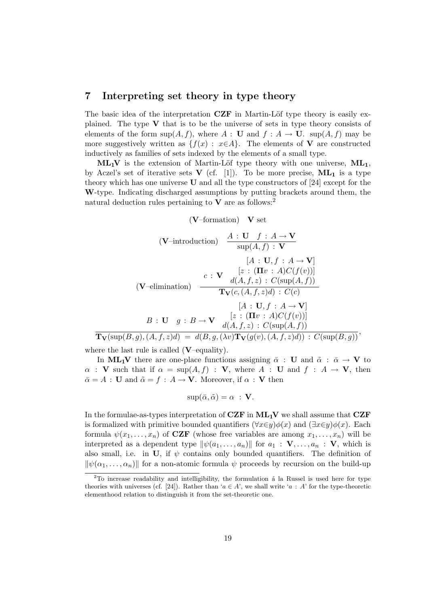## 7 Interpreting set theory in type theory

The basic idea of the interpretation  $CZF$  in Martin-Löf type theory is easily explained. The type  $V$  that is to be the universe of sets in type theory consists of elements of the form  $\sup(A, f)$ , where  $A : U$  and  $f : A \to U$ .  $\sup(A, f)$  may be more suggestively written as  $\{f(x) : x \in A\}$ . The elements of V are constructed inductively as families of sets indexed by the elements of a small type.

 $ML_1V$  is the extension of Martin-Löf type theory with one universe,  $ML_1$ , by Aczel's set of iterative sets  $V$  (cf. [1]). To be more precise,  $ML_1$  is a type theory which has one universe U and all the type constructors of [24] except for the W-type. Indicating discharged assumptions by putting brackets around them, the natural deduction rules pertaining to  $V$  are as follows:<sup>2</sup>

 $(V$ –formation)  $V$  set

$$
(\mathbf{V}\text{-introduction}) \quad \frac{A:\mathbf{U}\quad f:A\to\mathbf{V}}{\sup(A,f):\mathbf{V}}
$$
\n
$$
[A:\mathbf{U},f:A\to\mathbf{V}]
$$
\n
$$
[A:\mathbf{U},f:A\to\mathbf{V}]
$$
\n
$$
(\mathbf{V}\text{-elimination}) \quad \frac{c:\mathbf{V}\quad d(A,f,z):\,C(\sup(A,f))}{\mathbf{T}_{\mathbf{V}}(c,(A,f,z)d):\,C(c)} \quad [A:\mathbf{U},f:A\to\mathbf{V}]
$$
\n
$$
B:\mathbf{U}\quad g:B\to\mathbf{V}\quad [z:(\mathbf{I}\mathbf{U}:\,A)C(f(v))]
$$
\n
$$
\mathbf{T}_{\mathbf{V}}(\sup(B,g),(A,f,z)d) = d(B,g,(\lambda v)\mathbf{T}_{\mathbf{V}}(g(v),(A,f,z)d)):\,C(\sup(B,g))
$$

where the last rule is called  $(V$ –equality).

In ML<sub>1</sub>V there are one-place functions assigning  $\bar{\alpha}$  : U and  $\tilde{\alpha}$  :  $\bar{\alpha} \rightarrow V$  to  $\alpha$  : V such that if  $\alpha = \sup(A, f)$  : V, where A : U and  $f : A \to V$ , then  $\bar{\alpha} = A : U$  and  $\tilde{\alpha} = f : A \to V$ . Moreover, if  $\alpha : V$  then

$$
\sup(\bar{\alpha}, \tilde{\alpha}) = \alpha \; : \; \mathbf{V}.
$$

In the formulae-as-types interpretation of  $CZF$  in  $ML_1V$  we shall assume that  $CZF$ is formalized with primitive bounded quantifiers  $(\forall x \in y) \phi(x)$  and  $(\exists x \in y) \phi(x)$ . Each formula  $\psi(x_1, \ldots, x_n)$  of **CZF** (whose free variables are among  $x_1, \ldots, x_n$ ) will be interpreted as a dependent type  $\|\psi(a_1, \ldots, a_n)\|$  for  $a_1 : \mathbf{V}, \ldots, a_n : \mathbf{V}$ , which is also small, i.e. in U, if  $\psi$  contains only bounded quantifiers. The definition of  $\|\psi(\alpha_1, \ldots, \alpha_n)\|$  for a non-atomic formula  $\psi$  proceeds by recursion on the build-up

 $2$ To increase readability and intelligibility, the formulation  $\acute{a}$  la Russel is used here for type theories with universes (cf. [24]). Rather than ' $a \in A$ ', we shall write 'a : A' for the type-theoretic elementhood relation to distinguish it from the set-theoretic one.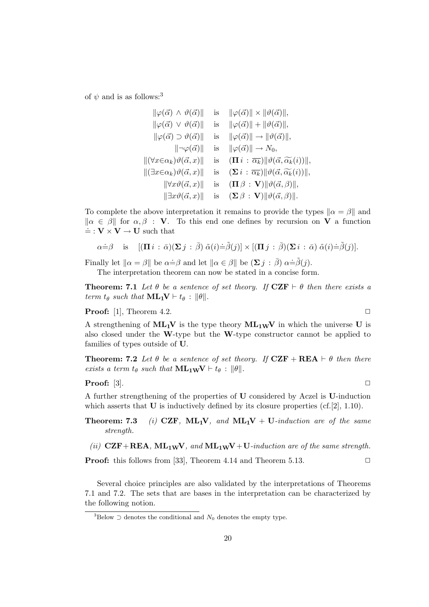of  $\psi$  and is as follows:<sup>3</sup>

$$
\|\varphi(\vec{\alpha}) \wedge \vartheta(\vec{\alpha})\| \quad \text{is} \quad \|\varphi(\vec{\alpha})\| \times \|\vartheta(\vec{\alpha})\|,
$$
  

$$
\|\varphi(\vec{\alpha}) \vee \vartheta(\vec{\alpha})\| \quad \text{is} \quad \|\varphi(\vec{\alpha})\| + \|\vartheta(\vec{\alpha})\|,
$$
  

$$
\|\varphi(\vec{\alpha}) \supset \vartheta(\vec{\alpha})\| \quad \text{is} \quad \|\varphi(\vec{\alpha})\| \to \|\vartheta(\vec{\alpha})\|,
$$
  

$$
\|\neg\varphi(\vec{\alpha})\| \quad \text{is} \quad \|\varphi(\vec{\alpha})\| \to N_0,
$$
  

$$
\|(\forall x \in \alpha_k) \vartheta(\vec{\alpha}, x)\| \quad \text{is} \quad (\mathbf{\Pi} i : \overline{\alpha_k}) \|\vartheta(\vec{\alpha}, \overline{\alpha_k}(i))\|,
$$
  

$$
\|(\exists x \in \alpha_k) \vartheta(\vec{\alpha}, x)\| \quad \text{is} \quad (\mathbf{\Sigma} i : \overline{\alpha_k}) \|\vartheta(\vec{\alpha}, \overline{\alpha_k}(i))\|,
$$
  

$$
\|\forall x \vartheta(\vec{\alpha}, x)\| \quad \text{is} \quad (\mathbf{\Pi} \beta : \mathbf{V}) \|\vartheta(\vec{\alpha}, \beta)\|,
$$
  

$$
\|\exists x \vartheta(\vec{\alpha}, x)\| \quad \text{is} \quad (\mathbf{\Sigma} \beta : \mathbf{V}) \|\vartheta(\vec{\alpha}, \beta)\|.
$$

To complete the above interpretation it remains to provide the types  $\|\alpha = \beta\|$  and  $\|\alpha \in \beta\|$  for  $\alpha, \beta$ : V. To this end one defines by recursion on V a function  $\dot{=} : \mathbf{V} \times \mathbf{V} \rightarrow \mathbf{U}$  such that

$$
\alpha \dot{=} \beta \quad \text{is} \quad [(\mathbf{\Pi} \, i \, : \, \bar{\alpha})(\mathbf{\Sigma} \, j \, : \, \bar{\beta}) \, \tilde{\alpha}(i) \dot{=} \tilde{\beta}(j)] \times [(\mathbf{\Pi} \, j \, : \, \bar{\beta})(\mathbf{\Sigma} \, i \, : \, \bar{\alpha}) \, \tilde{\alpha}(i) \dot{=} \tilde{\beta}(j)].
$$

Finally let  $\|\alpha = \beta\|$  be  $\alpha = \beta$  and let  $\|\alpha \in \beta\|$  be  $(\sum j : \bar{\beta})\alpha = \tilde{\beta}(j)$ . The interpretation theorem can now be stated in a concise form.

**Theorem:** 7.1 Let  $\theta$  be a sentence of set theory. If  $CZF \vdash \theta$  then there exists a term  $t_{\theta}$  such that  $ML_1V \vdash t_{\theta} : ||\theta||$ .

**Proof:** [1], Theorem 4.2.  $\Box$ 

A strengthening of  $ML_1V$  is the type theory  $ML_1WV$  in which the universe U is also closed under the W-type but the W-type constructor cannot be applied to families of types outside of U.

**Theorem:** 7.2 Let  $\theta$  be a sentence of set theory. If  $CZF + REA \vdash \theta$  then there exists a term  $t_{\theta}$  such that  $\mathbf{ML_{1W}}\mathbf{V} \vdash t_{\theta} : \|\theta\|.$ 

### **Proof:** [3].  $\Box$

A further strengthening of the properties of U considered by Aczel is U-induction which asserts that  **is inductively defined by its closure properties (cf.[2], 1.10).** 

- **Theorem: 7.3** (i) CZF,  $ML_1V$ , and  $ML_1V$  + U-induction are of the same strength.
- (ii)  $CZF+REA$ ,  $ML_1wV$ , and  $ML_1wV+U-induction$  are of the same strength.

**Proof:** this follows from [33], Theorem 4.14 and Theorem 5.13.  $\Box$ 

Several choice principles are also validated by the interpretations of Theorems 7.1 and 7.2. The sets that are bases in the interpretation can be characterized by the following notion.

<sup>&</sup>lt;sup>3</sup>Below  $\supset$  denotes the conditional and  $N_0$  denotes the empty type.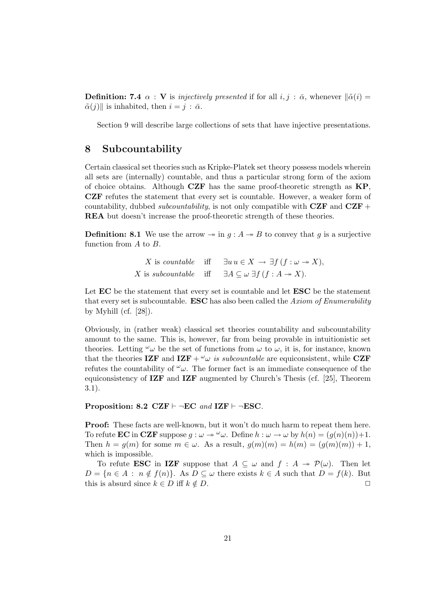**Definition:** 7.4  $\alpha$  : V is *injectively presented* if for all *i*, *j* :  $\bar{\alpha}$ , whenever  $\|\tilde{\alpha}(i)\|$  $\tilde{\alpha}(j)$  is inhabited, then  $i = j : \bar{\alpha}$ .

Section 9 will describe large collections of sets that have injective presentations.

## 8 Subcountability

Certain classical set theories such as Kripke-Platek set theory possess models wherein all sets are (internally) countable, and thus a particular strong form of the axiom of choice obtains. Although  $CZF$  has the same proof-theoretic strength as  $KP$ , CZF refutes the statement that every set is countable. However, a weaker form of countability, dubbed *subcountability*, is not only compatible with  $CZF$  and  $CZF$  + REA but doesn't increase the proof-theoretic strength of these theories.

**Definition:** 8.1 We use the arrow  $\rightarrow$  in  $g : A \rightarrow B$  to convey that g is a surjective function from A to B.

> X is countable iff  $\exists u \, u \in X \rightarrow \exists f (f : \omega \rightarrow X),$ X is subcountable iff  $\exists A \subseteq \omega \exists f (f : A \rightarrow X).$

Let EC be the statement that every set is countable and let ESC be the statement that every set is subcountable. **ESC** has also been called the Axiom of Enumerability by Myhill (cf.  $[28]$ ).

Obviously, in (rather weak) classical set theories countability and subcountability amount to the same. This is, however, far from being provable in intuitionistic set theories. Letting  $\omega_{\omega}$  be the set of functions from  $\omega$  to  $\omega$ , it is, for instance, known that the theories IZF and IZF +  $\omega$  is subcountable are equiconsistent, while CZF refutes the countability of  $\omega$ . The former fact is an immediate consequence of the equiconsistency of  $\mathbf{IZF}$  and  $\mathbf{IZF}$  augmented by Church's Thesis (cf. [25], Theorem 3.1).

Proposition: 8.2 CZF  $\vdash \neg EC$  and IZF  $\vdash \neg ESC$ .

Proof: These facts are well-known, but it won't do much harm to repeat them here. To refute **EC** in **CZF** suppose  $q : \omega \to \omega$ . Define  $h : \omega \to \omega$  by  $h(n) = (q(n)(n))+1$ . Then  $h = q(m)$  for some  $m \in \omega$ . As a result,  $q(m)(m) = h(m) = (q(m)(m)) + 1$ , which is impossible.

To refute **ESC** in **IZF** suppose that  $A \subseteq \omega$  and  $f : A \rightarrow \mathcal{P}(\omega)$ . Then let  $D = \{n \in A : n \notin f(n)\}.$  As  $D \subseteq \omega$  there exists  $k \in A$  such that  $D = f(k)$ . But this is absurd since  $k \in D$  iff  $k \notin D$ .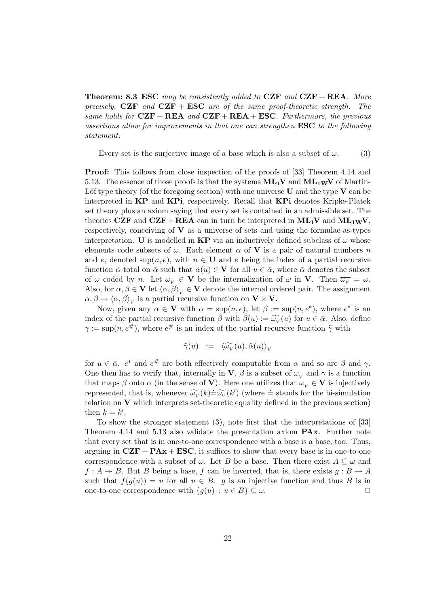**Theorem: 8.3 ESC** may be consistently added to  $CZF$  and  $CZF + REA$ . More precisely,  $CZF$  and  $CZF + ESC$  are of the same proof-theoretic strength. The same holds for  $CZF + REA$  and  $CZF + REA + ESC$ . Furthermore, the previous assertions allow for improvements in that one can strengthen ESC to the following statement:

Every set is the surjective image of a base which is also a subset of  $\omega$ . (3)

Proof: This follows from close inspection of the proofs of [33] Theorem 4.14 and 5.13. The essence of those proofs is that the systems  $ML_1V$  and  $ML_1wV$  of Martin-Löf type theory (of the foregoing section) with one universe  $U$  and the type  $V$  can be interpreted in KP and KPi, respectively. Recall that KPi denotes Kripke-Platek set theory plus an axiom saying that every set is contained in an admissible set. The theories CZF and CZF+REA can in turn be interpreted in  $ML_1V$  and  $ML_1wV$ , respectively, conceiving of  $V$  as a universe of sets and using the formulae-as-types interpretation. U is modelled in KP via an inductively defined subclass of  $\omega$  whose elements code subsets of  $\omega$ . Each element  $\alpha$  of **V** is a pair of natural numbers n and e, denoted sup $(n, e)$ , with  $n \in U$  and e being the index of a partial recursive function  $\tilde{\alpha}$  total on  $\bar{\alpha}$  such that  $\tilde{\alpha}(u) \in \mathbf{V}$  for all  $u \in \bar{\alpha}$ , where  $\bar{\alpha}$  denotes the subset of  $\omega$  coded by n. Let  $\omega_V \in \mathbf{V}$  be the internalization of  $\omega$  in **V**. Then  $\overline{\omega_V} = \omega$ . Also, for  $\alpha, \beta \in V$  let  $\langle \alpha, \beta \rangle_V \in V$  denote the internal ordered pair. The assignment  $\alpha, \beta \mapsto \langle \alpha, \beta \rangle_V$  is a partial recursive function on  $V \times V$ .

Now, given any  $\alpha \in \mathbf{V}$  with  $\alpha = \sup(n, e)$ , let  $\beta := \sup(n, e^*)$ , where  $e^*$  is an index of the partial recursive function  $\tilde{\beta}$  with  $\tilde{\beta}(u) := \widetilde{\omega_V}(u)$  for  $u \in \bar{\alpha}$ . Also, define  $\tilde{\alpha} := \text{sup}(u, \tilde{\beta}^{\#})$ , where  $\tilde{\beta}^{\#}$  is an index of the partial requiring function  $\tilde{\alpha}$  with  $\gamma := \sup(n, e^{\#})$ , where  $e^{\#}$  is an index of the partial recursive function  $\tilde{\gamma}$  with

$$
\tilde{\gamma}(u) := \langle \widetilde{\omega_V}(u), \tilde{\alpha}(u) \rangle_V
$$

for  $u \in \bar{\alpha}$ .  $e^*$  and  $e^{\#}$  are both effectively computable from  $\alpha$  and so are  $\beta$  and  $\gamma$ . One then has to verify that, internally in **V**,  $\beta$  is a subset of  $\omega_V$  and  $\gamma$  is a function that maps  $\beta$  onto  $\alpha$  (in the sense of **V**). Here one utilizes that  $\omega_V \in \mathbf{V}$  is injectively represented, that is, whenever  $\widetilde{\omega_V}(k) \doteq \widetilde{\omega_V}(k')$  (where  $\doteq$  stands for the bi-simulation<br>relation on **V** which interprets set theoretic equality defined in the previous section) relation on  $V$  which interprets set-theoretic equality defined in the previous section) then  $k = k'$ .

To show the stronger statement (3), note first that the interpretations of [33] Theorem 4.14 and 5.13 also validate the presentation axiom PAx. Further note that every set that is in one-to-one correspondence with a base is a base, too. Thus, arguing in  $CZF + PAx + ESC$ , it suffices to show that every base is in one-to-one correspondence with a subset of  $\omega$ . Let B be a base. Then there exist  $A \subseteq \omega$  and  $f: A \rightarrow B$ . But B being a base, f can be inverted, that is, there exists  $g: B \rightarrow A$ such that  $f(q(u)) = u$  for all  $u \in B$ . g is an injective function and thus B is in one-to-one correspondence with  $\{g(u) : u \in B\} \subseteq \omega$ .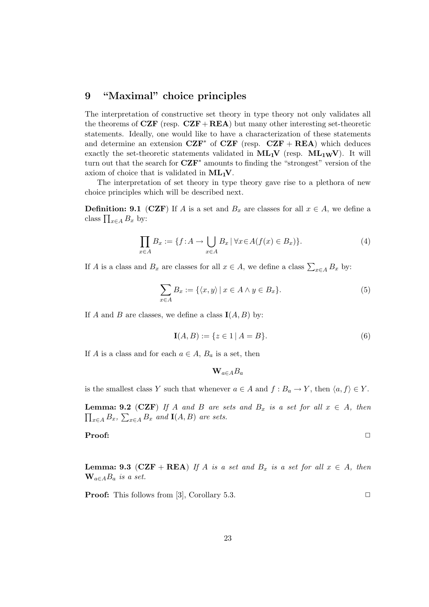## 9 "Maximal" choice principles

The interpretation of constructive set theory in type theory not only validates all the theorems of  $CZF$  (resp.  $CZF + REA$ ) but many other interesting set-theoretic statements. Ideally, one would like to have a characterization of these statements and determine an extension  $CZF^*$  of  $CZF$  (resp.  $CZF + REA$ ) which deduces exactly the set-theoretic statements validated in  $ML_1V$  (resp.  $ML_1wV$ ). It will turn out that the search for  $CZF^*$  amounts to finding the "strongest" version of the axiom of choice that is validated in  $ML_1V$ .

The interpretation of set theory in type theory gave rise to a plethora of new choice principles which will be described next.

**Definition: 9.1** (CZF) If A is a set and  $B_x$  are classes for all  $x \in A$ , we define a class  $\prod_{x \in A} B_x$  by:

$$
\prod_{x \in A} B_x := \{ f : A \to \bigcup_{x \in A} B_x \, | \, \forall x \in A (f(x) \in B_x) \}.
$$
\n<sup>(4)</sup>

If A is a class and  $B_x$  are classes for all  $x \in A$ , we define a class  $\sum_{x \in A} B_x$  by:

$$
\sum_{x \in A} B_x := \{ \langle x, y \rangle \mid x \in A \land y \in B_x \}. \tag{5}
$$

If A and B are classes, we define a class  $I(A, B)$  by:

$$
\mathbf{I}(A,B) := \{ z \in 1 \mid A = B \}. \tag{6}
$$

If A is a class and for each  $a \in A$ ,  $B_a$  is a set, then

$$
\mathbf{W}_{a\in A}B_a
$$

is the smallest class Y such that whenever  $a \in A$  and  $f : B_a \to Y$ , then  $\langle a, f \rangle \in Y$ .

**Lemma: 9.2** (CZF) If A and B are sets and  $B_x$  is a set for all  $x \in A$ , then  $\prod_{x \in A} B_x$ ,  $\sum_{x \in A} B_x$  and  $I(A, B)$  are sets.

**Proof:**  $\Box$ 

**Lemma: 9.3** (CZF + REA) If A is a set and  $B_x$  is a set for all  $x \in A$ , then  $\mathbf{W}_{a\in A}B_a$  is a set.

**Proof:** This follows from [3], Corollary 5.3. ◯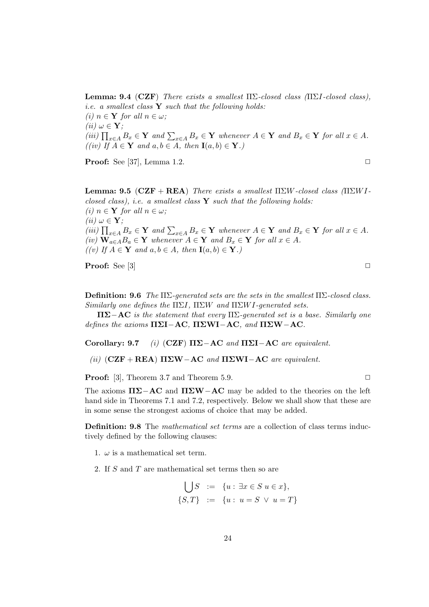**Lemma: 9.4** (CZF) There exists a smallest  $\Pi\Sigma$ -closed class ( $\Pi\Sigma I$ -closed class), *i.e.* a smallest class  $Y$  such that the following holds: (i)  $n \in \mathbf{Y}$  for all  $n \in \omega$ ; (*ii*)  $\omega \in \mathbf{Y}$ ; (iii)  $\prod_{x \in A} B_x \in Y$  and  $\sum_{x \in A} B_x \in Y$  whenever  $A \in Y$  and  $B_x \in Y$  for all  $x \in A$ .  $((iv)$  If  $A \in \mathbf{Y}$  and  $a, b \in A$ , then  $\mathbf{I}(a, b) \in \mathbf{Y}$ .)

**Proof:** See [37], Lemma 1.2.  $\Box$ 

**Lemma: 9.5 (CZF** + REA) There exists a smallest  $\Pi \Sigma W$ -closed class  $(\Pi \Sigma W I$ closed class), i.e. a smallest class  $\bf{Y}$  such that the following holds: (i)  $n \in \mathbf{Y}$  for all  $n \in \omega$ ; (*ii*)  $\omega \in \mathbf{Y}$ ; (iii)  $\prod_{x \in A} B_x \in Y$  and  $\sum_{x \in A} B_x \in Y$  whenever  $A \in Y$  and  $B_x \in Y$  for all  $x \in A$ . (iv)  $\mathbf{W}_{a\in A}B_a \in \mathbf{Y}$  whenever  $A \in \mathbf{Y}$  and  $B_x \in \mathbf{Y}$  for all  $x \in A$ .  $((v)$  If  $A \in Y$  and  $a, b \in A$ , then  $I(a, b) \in Y$ .)

**Proof:** See [3]  $\Box$ 

Definition: 9.6 The  $\Pi\Sigma$ -generated sets are the sets in the smallest  $\Pi\Sigma$ -closed class. Similarly one defines the  $\Pi\Sigma I$ ,  $\Pi\Sigma W$  and  $\Pi\Sigma W I$ -generated sets.

 $\Pi\Sigma-\text{AC}$  is the statement that every  $\Pi\Sigma$ -generated set is a base. Similarly one defines the axioms  $\Pi \Sigma I - AC$ ,  $\Pi \Sigma W - AC$ , and  $\Pi \Sigma W - AC$ .

Corollary: 9.7 (i) (CZF)  $\Pi\Sigma$ -AC and  $\Pi\Sigma$ I-AC are equivalent.

(ii)  $(CZF + REAL) \Pi\Sigma W-AC$  and  $\Pi\Sigma W-I-AC$  are equivalent.

**Proof:** [3], Theorem 3.7 and Theorem 5.9.  $\Box$ 

The axioms  $\Pi\Sigma-\text{AC}$  and  $\Pi\Sigma W-\text{AC}$  may be added to the theories on the left hand side in Theorems 7.1 and 7.2, respectively. Below we shall show that these are in some sense the strongest axioms of choice that may be added.

Definition: 9.8 The *mathematical set terms* are a collection of class terms inductively defined by the following clauses:

- 1.  $\omega$  is a mathematical set term.
- 2. If S and T are mathematical set terms then so are

$$
\bigcup S := \{u : \exists x \in S \ u \in x\},\
$$
  

$$
\{S,T\} := \{u : u = S \ \lor \ u = T\}
$$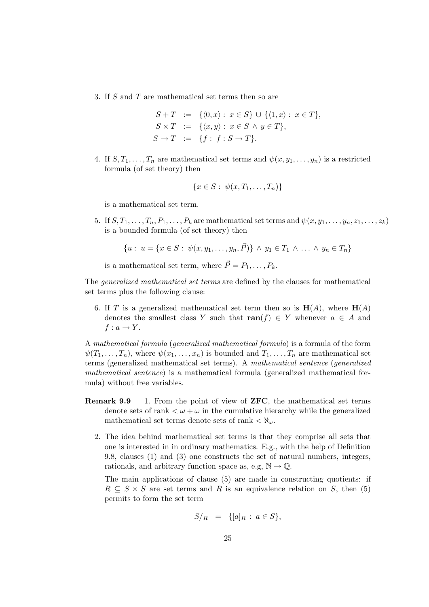3. If S and T are mathematical set terms then so are

$$
S + T := \{ \langle 0, x \rangle : x \in S \} \cup \{ \langle 1, x \rangle : x \in T \},
$$
  
\n
$$
S \times T := \{ \langle x, y \rangle : x \in S \land y \in T \},
$$
  
\n
$$
S \to T := \{ f : f : S \to T \}.
$$

4. If  $S, T_1, \ldots, T_n$  are mathematical set terms and  $\psi(x, y_1, \ldots, y_n)$  is a restricted formula (of set theory) then

$$
\{x \in S: \ \psi(x, T_1, \ldots, T_n)\}\
$$

is a mathematical set term.

5. If  $S, T_1, \ldots, T_n, P_1, \ldots, P_k$  are mathematical set terms and  $\psi(x, y_1, \ldots, y_n, z_1, \ldots, z_k)$ is a bounded formula (of set theory) then

$$
\{u: u = \{x \in S: \psi(x, y_1, \dots, y_n, \vec{P})\} \land y_1 \in T_1 \land \dots \land y_n \in T_n\}
$$

is a mathematical set term, where  $\vec{P} = P_1, \ldots, P_k$ .

The generalized mathematical set terms are defined by the clauses for mathematical set terms plus the following clause:

6. If T is a generalized mathematical set term then so is  $H(A)$ , where  $H(A)$ denotes the smallest class Y such that  $ran(f) \in Y$  whenever  $a \in A$  and  $f: a \rightarrow Y$ .

A mathematical formula (generalized mathematical formula) is a formula of the form  $\psi(T_1, \ldots, T_n)$ , where  $\psi(x_1, \ldots, x_n)$  is bounded and  $T_1, \ldots, T_n$  are mathematical set terms (generalized mathematical set terms). A mathematical sentence (generalized mathematical sentence) is a mathematical formula (generalized mathematical formula) without free variables.

- Remark 9.9 1. From the point of view of ZFC, the mathematical set terms denote sets of rank  $\lt \omega + \omega$  in the cumulative hierarchy while the generalized mathematical set terms denote sets of rank  $\langle \aleph_{\omega}$ .
	- 2. The idea behind mathematical set terms is that they comprise all sets that one is interested in in ordinary mathematics. E.g., with the help of Definition 9.8, clauses (1) and (3) one constructs the set of natural numbers, integers, rationals, and arbitrary function space as, e.g,  $\mathbb{N} \to \mathbb{Q}$ .

The main applications of clause (5) are made in constructing quotients: if  $R \subseteq S \times S$  are set terms and R is an equivalence relation on S, then (5) permits to form the set term

$$
S/R = \{ [a]_R : a \in S \},\
$$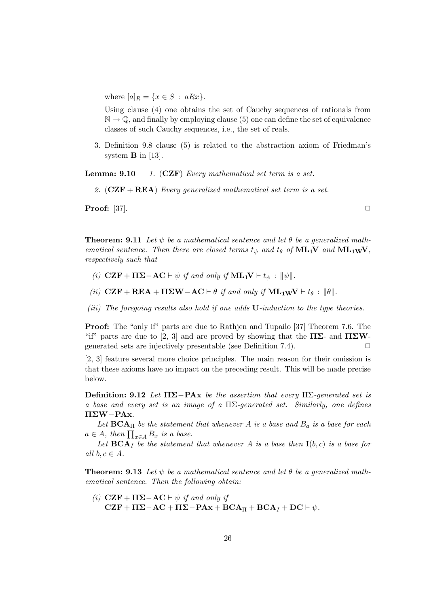where  $[a]_R = \{x \in S : aRx\}.$ 

Using clause (4) one obtains the set of Cauchy sequences of rationals from  $\mathbb{N} \to \mathbb{Q}$ , and finally by employing clause (5) one can define the set of equivalence classes of such Cauchy sequences, i.e., the set of reals.

3. Definition 9.8 clause (5) is related to the abstraction axiom of Friedman's system  $\bf{B}$  in [13].

**Lemma: 9.10** 1.  $(CZF)$  Every mathematical set term is a set.

2.  $(CZF + REA)$  Every generalized mathematical set term is a set.

**Proof:** [37].  $\Box$ 

**Theorem:** 9.11 Let  $\psi$  be a mathematical sentence and let  $\theta$  be a generalized mathematical sentence. Then there are closed terms  $t_{\psi}$  and  $t_{\theta}$  of  $ML_1V$  and  $ML_1wV$ , respectively such that

- (i)  $CZF + \Pi\Sigma AC \vdash \psi$  if and only if  $ML_1V \vdash t_{\psi} : ||\psi||$ .
- (ii)  $CZF + REA + \Pi \Sigma W AC \vdash \theta$  if and only if  $ML_1WV \vdash t_{\theta} : ||\theta||$ .
- (iii) The foregoing results also hold if one adds U-induction to the type theories.

Proof: The "only if" parts are due to Rathjen and Tupailo [37] Theorem 7.6. The "if" parts are due to [2, 3] and are proved by showing that the  $\Pi\Sigma$ - and  $\Pi\Sigma W$ generated sets are injectively presentable (see Definition 7.4).  $\Box$ 

[2, 3] feature several more choice principles. The main reason for their omission is that these axioms have no impact on the preceding result. This will be made precise below.

Definition: 9.12 Let  $\Pi \Sigma - P \mathbf{A} \mathbf{x}$  be the assertion that every  $\Pi \Sigma$ -generated set is a base and every set is an image of a  $\Pi\Sigma$ -generated set. Similarly, one defines ΠΣW−PAx.

Let  $BCA<sub>II</sub>$  be the statement that whenever A is a base and  $B<sub>a</sub>$  is a base for each  $a \in A$ , then  $\prod_{x \in A} B_x$  is a base.

Let  $\mathbf{BCA}_I$  be the statement that whenever A is a base then  $\mathbf{I}(b,c)$  is a base for all  $b, c \in A$ .

**Theorem:** 9.13 Let  $\psi$  be a mathematical sentence and let  $\theta$  be a generalized mathematical sentence. Then the following obtain:

(i)  $CZF + \Pi \Sigma - AC \vdash \psi$  if and only if  $CZF + \Pi\Sigma - AC + \Pi\Sigma - PAx + BCA_{II} + BCA_{I} + DC + \psi.$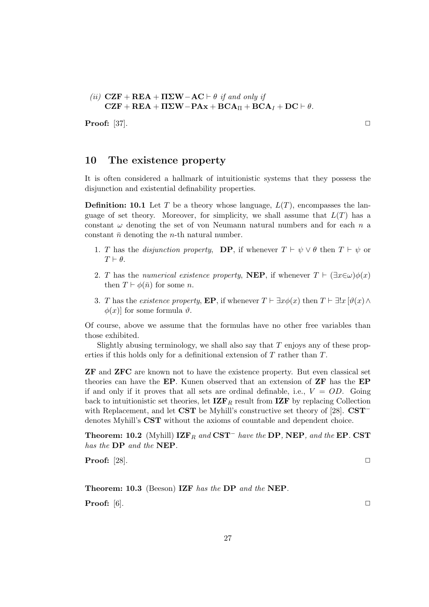(ii) 
$$
\mathbf{CZF} + \mathbf{REA} + \mathbf{H}\mathbf{\Sigma}\mathbf{W} - \mathbf{AC} \vdash \theta
$$
 if and only if  $\mathbf{CZF} + \mathbf{REA} + \mathbf{H}\mathbf{\Sigma}\mathbf{W} - \mathbf{P}\mathbf{Ax} + \mathbf{BCA}_{\Pi} + \mathbf{BCA}_{I} + \mathbf{DC} \vdash \theta$ .

**Proof:** [37].

## 10 The existence property

It is often considered a hallmark of intuitionistic systems that they possess the disjunction and existential definability properties.

**Definition: 10.1** Let T be a theory whose language,  $L(T)$ , encompasses the language of set theory. Moreover, for simplicity, we shall assume that  $L(T)$  has a constant  $\omega$  denoting the set of von Neumann natural numbers and for each n a constant  $\bar{n}$  denoting the *n*-th natural number.

- 1. T has the *disjunction property*, **DP**, if whenever  $T \vdash \psi \lor \theta$  then  $T \vdash \psi$  or  $T \vdash \theta$ .
- 2. T has the numerical existence property, NEP, if whenever  $T \vdash (\exists x \in \omega) \phi(x)$ then  $T \vdash \phi(\bar{n})$  for some n.
- 3. T has the existence property, **EP**, if whenever  $T \vdash \exists x \phi(x)$  then  $T \vdash \exists! x \, [\vartheta(x) \land \vartheta(x)]$  $\phi(x)$  for some formula  $\vartheta$ .

Of course, above we assume that the formulas have no other free variables than those exhibited.

Slightly abusing terminology, we shall also say that  $T$  enjoys any of these properties if this holds only for a definitional extension of T rather than T.

ZF and ZFC are known not to have the existence property. But even classical set theories can have the EP. Kunen observed that an extension of ZF has the EP if and only if it proves that all sets are ordinal definable, i.e.,  $V = OD$ . Going back to intuitionistic set theories, let  $\mathbf{IZF}_R$  result from  $\mathbf{IZF}$  by replacing Collection with Replacement, and let CST be Myhill's constructive set theory of [28]. CST<sup>−</sup> denotes Myhill's CST without the axioms of countable and dependent choice.

Theorem: 10.2 (Myhill) IZF<sub>R</sub> and CST<sup>−</sup> have the DP, NEP, and the EP. CST has the DP and the NEP.

**Proof:** [28].  $\Box$ 

Theorem: 10.3 (Beeson) IZF has the DP and the NEP. **Proof:**  $[6]$ .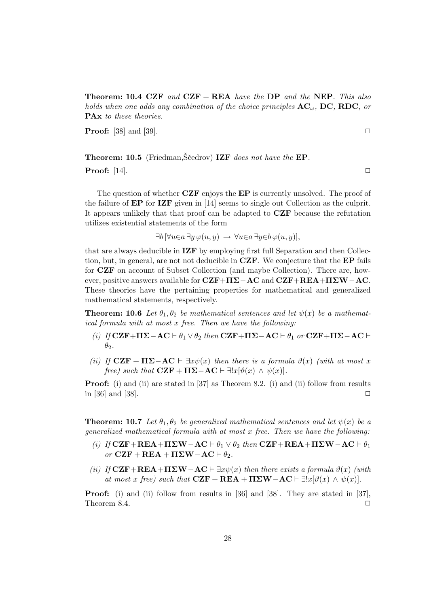**Theorem: 10.4 CZF** and  $CZF + REA$  have the DP and the NEP. This also holds when one adds any combination of the choice principles  $AC_{\omega}$ , DC, RDC, or PAx to these theories.

**Proof:** [38] and [39].  $\Box$ 

**Theorem: 10.5** (Friedman,  $\check{S}$ cedrov) **IZF** does not have the **EP**.

**Proof:** [14].  $\Box$ 

The question of whether  $CZF$  enjoys the  $EP$  is currently unsolved. The proof of the failure of EP for IZF given in [14] seems to single out Collection as the culprit. It appears unlikely that that proof can be adapted to CZF because the refutation utilizes existential statements of the form

 $\exists b \, [\forall u \in a \, \exists y \, \varphi(u, y) \rightarrow \forall u \in a \, \exists y \in b \, \varphi(u, y)],$ 

that are always deducible in IZF by employing first full Separation and then Collection, but, in general, are not not deducible in  $CZF$ . We conjecture that the  $EP$  fails for CZF on account of Subset Collection (and maybe Collection). There are, however, positive answers available for  $CZF+\Pi\Sigma-AC$  and  $CZF+REA+\Pi\Sigma W-AC$ . These theories have the pertaining properties for mathematical and generalized mathematical statements, respectively.

**Theorem: 10.6** Let  $\theta_1, \theta_2$  be mathematical sentences and let  $\psi(x)$  be a mathematical formula with at most x free. Then we have the following:

- (i) If  $CZF+\Pi\Sigma-AC \vdash \theta_1 \vee \theta_2$  then  $CZF+\Pi\Sigma-AC \vdash \theta_1$  or  $CZF+\Pi\Sigma-AC \vdash$  $\theta_2$ .
- (ii) If  $CZF + IIZ-AC \vdash \exists x \psi(x)$  then there is a formula  $\vartheta(x)$  (with at most x free) such that  $CZF + \Pi\Sigma - AC \vdash \exists !x[\vartheta(x) \wedge \psi(x)].$

**Proof:** (i) and (ii) are stated in [37] as Theorem 8.2. (i) and (ii) follow from results in [36] and [38].  $\Box$ 

**Theorem: 10.7** Let  $\theta_1, \theta_2$  be generalized mathematical sentences and let  $\psi(x)$  be a generalized mathematical formula with at most x free. Then we have the following:

- (i) If  $CZF+REA+IT\Sigma W-AC \vdash \theta_1 \vee \theta_2$  then  $CZF+REA+IT\Sigma W-AC \vdash \theta_1$ or  $CZF + REA + \Pi \Sigma W - AC \vdash \theta_2$ .
- (ii) If  $CZF+REA+ITZW-AC \vdash \exists x\psi(x)$  then there exists a formula  $\vartheta(x)$  (with at most x free) such that  $CZF + REA + \Pi \Sigma W - AC \vdash \exists !x[\vartheta(x) \wedge \psi(x)].$

Proof: (i) and (ii) follow from results in [36] and [38]. They are stated in [37], Theorem 8.4.  $\Box$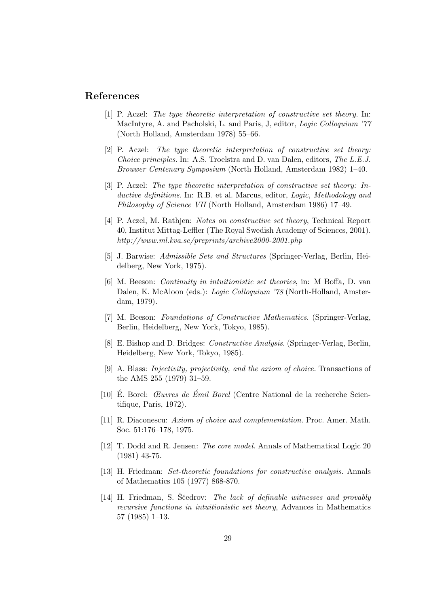## References

- [1] P. Aczel: The type theoretic interpretation of constructive set theory. In: MacIntyre, A. and Pacholski, L. and Paris, J, editor, *Logic Colloquium '77* (North Holland, Amsterdam 1978) 55–66.
- [2] P. Aczel: The type theoretic interpretation of constructive set theory: Choice principles. In: A.S. Troelstra and D. van Dalen, editors, The L.E.J. Brouwer Centenary Symposium (North Holland, Amsterdam 1982) 1–40.
- [3] P. Aczel: The type theoretic interpretation of constructive set theory: Inductive definitions. In: R.B. et al. Marcus, editor, Logic, Methodology and Philosophy of Science VII (North Holland, Amsterdam 1986) 17–49.
- [4] P. Aczel, M. Rathjen: Notes on constructive set theory, Technical Report 40, Institut Mittag-Leffler (The Royal Swedish Academy of Sciences, 2001). http://www.ml.kva.se/preprints/archive2000-2001.php
- [5] J. Barwise: Admissible Sets and Structures (Springer-Verlag, Berlin, Heidelberg, New York, 1975).
- [6] M. Beeson: Continuity in intuitionistic set theories, in: M Boffa, D. van Dalen, K. McAloon (eds.): Logic Colloquium '78 (North-Holland, Amsterdam, 1979).
- [7] M. Beeson: Foundations of Constructive Mathematics. (Springer-Verlag, Berlin, Heidelberg, New York, Tokyo, 1985).
- [8] E. Bishop and D. Bridges: Constructive Analysis. (Springer-Verlag, Berlin, Heidelberg, New York, Tokyo, 1985).
- [9] A. Blass: Injectivity, projectivity, and the axiom of choice. Transactions of the AMS 255 (1979) 31–59.
- $[10]$  E. Borel: *Œuvres de Émil Borel* (Centre National de la recherche Scientifique, Paris, 1972).
- [11] R. Diaconescu: Axiom of choice and complementation. Proc. Amer. Math. Soc. 51:176–178, 1975.
- [12] T. Dodd and R. Jensen: The core model. Annals of Mathematical Logic 20 (1981) 43-75.
- [13] H. Friedman: Set-theoretic foundations for constructive analysis. Annals of Mathematics 105 (1977) 868-870.
- [14] H. Friedman, S. Ščedrov: The lack of definable witnesses and provably recursive functions in intuitionistic set theory, Advances in Mathematics 57 (1985) 1–13.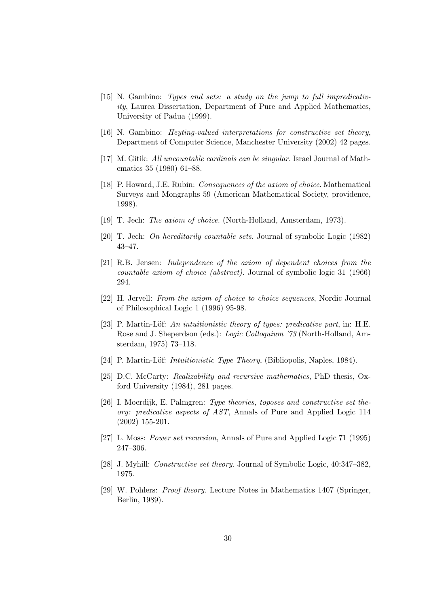- [15] N. Gambino: Types and sets: a study on the jump to full impredicativity, Laurea Dissertation, Department of Pure and Applied Mathematics, University of Padua (1999).
- [16] N. Gambino: Heyting-valued interpretations for constructive set theory, Department of Computer Science, Manchester University (2002) 42 pages.
- [17] M. Gitik: All uncountable cardinals can be singular. Israel Journal of Mathematics 35 (1980) 61–88.
- [18] P. Howard, J.E. Rubin: Consequences of the axiom of choice. Mathematical Surveys and Mongraphs 59 (American Mathematical Society, providence, 1998).
- [19] T. Jech: The axiom of choice. (North-Holland, Amsterdam, 1973).
- [20] T. Jech: On hereditarily countable sets. Journal of symbolic Logic (1982) 43–47.
- [21] R.B. Jensen: Independence of the axiom of dependent choices from the countable axiom of choice (abstract). Journal of symbolic logic 31 (1966) 294.
- [22] H. Jervell: From the axiom of choice to choice sequences, Nordic Journal of Philosophical Logic 1 (1996) 95-98.
- [23] P. Martin-Löf: An intuitionistic theory of types: predicative part, in: H.E. Rose and J. Sheperdson (eds.): Logic Colloquium '73 (North-Holland, Amsterdam, 1975) 73–118.
- [24] P. Martin-Löf: *Intuitionistic Type Theory*, (Bibliopolis, Naples, 1984).
- [25] D.C. McCarty: Realizability and recursive mathematics, PhD thesis, Oxford University (1984), 281 pages.
- [26] I. Moerdijk, E. Palmgren: Type theories, toposes and constructive set theory: predicative aspects of AST, Annals of Pure and Applied Logic 114 (2002) 155-201.
- [27] L. Moss: Power set recursion, Annals of Pure and Applied Logic 71 (1995) 247–306.
- [28] J. Myhill: Constructive set theory. Journal of Symbolic Logic, 40:347–382, 1975.
- [29] W. Pohlers: Proof theory. Lecture Notes in Mathematics 1407 (Springer, Berlin, 1989).